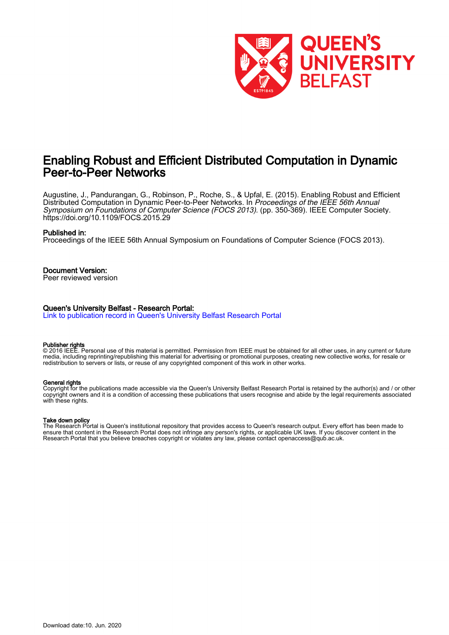

# Enabling Robust and Efficient Distributed Computation in Dynamic Peer-to-Peer Networks

Augustine, J., Pandurangan, G., Robinson, P., Roche, S., & Upfal, E. (2015). Enabling Robust and Efficient Distributed Computation in Dynamic Peer-to-Peer Networks. In Proceedings of the IEEE 56th Annual Symposium on Foundations of Computer Science (FOCS 2013). (pp. 350-369). IEEE Computer Society. <https://doi.org/10.1109/FOCS.2015.29>

## Published in:

Proceedings of the IEEE 56th Annual Symposium on Foundations of Computer Science (FOCS 2013).

## Document Version:

Peer reviewed version

## Queen's University Belfast - Research Portal:

[Link to publication record in Queen's University Belfast Research Portal](https://pure.qub.ac.uk/en/publications/enabling-robust-and-efficient-distributed-computation-in-dynamic-peertopeer-networks(d2f83909-4d2e-4380-8ee7-68c3154a4199).html)

#### Publisher rights

© 2016 IEEE. Personal use of this material is permitted. Permission from IEEE must be obtained for all other uses, in any current or future media, including reprinting/republishing this material for advertising or promotional purposes, creating new collective works, for resale or redistribution to servers or lists, or reuse of any copyrighted component of this work in other works.

#### General rights

Copyright for the publications made accessible via the Queen's University Belfast Research Portal is retained by the author(s) and / or other copyright owners and it is a condition of accessing these publications that users recognise and abide by the legal requirements associated with these rights.

## Take down policy

The Research Portal is Queen's institutional repository that provides access to Queen's research output. Every effort has been made to ensure that content in the Research Portal does not infringe any person's rights, or applicable UK laws. If you discover content in the Research Portal that you believe breaches copyright or violates any law, please contact openaccess@qub.ac.uk.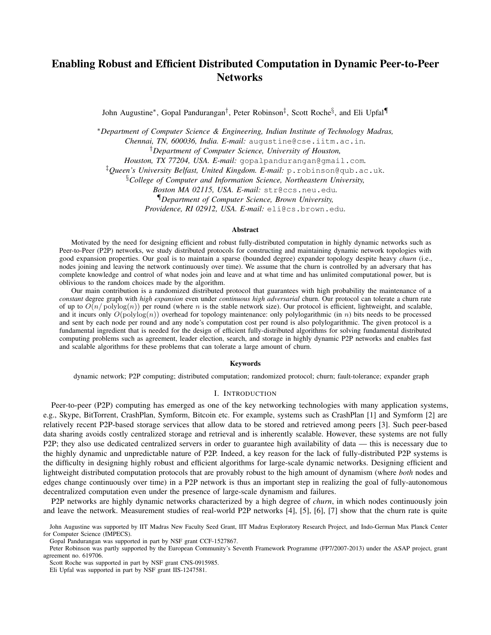## Enabling Robust and Efficient Distributed Computation in Dynamic Peer-to-Peer **Networks**

John Augustine\*, Gopal Pandurangan<sup>†</sup>, Peter Robinson<sup>‡</sup>, Scott Roche<sup>§</sup>, and Eli Upfal¶

<sup>∗</sup>*Department of Computer Science & Engineering, Indian Institute of Technology Madras, Chennai, TN, 600036, India. E-mail:* augustine@cse.iitm.ac.in*.*

†*Department of Computer Science, University of Houston,*

*Houston, TX 77204, USA. E-mail:* gopalpandurangan@gmail.com*.*

‡*Queen's University Belfast, United Kingdom. E-mail:* p.robinson@qub.ac.uk*.*

§*College of Computer and Information Science, Northeastern University,*

*Boston MA 02115, USA. E-mail:* str@ccs.neu.edu*.*

¶*Department of Computer Science, Brown University,*

*Providence, RI 02912, USA. E-mail:* eli@cs.brown.edu*.*

## Abstract

Motivated by the need for designing efficient and robust fully-distributed computation in highly dynamic networks such as Peer-to-Peer (P2P) networks, we study distributed protocols for constructing and maintaining dynamic network topologies with good expansion properties. Our goal is to maintain a sparse (bounded degree) expander topology despite heavy *churn* (i.e., nodes joining and leaving the network continuously over time). We assume that the churn is controlled by an adversary that has complete knowledge and control of what nodes join and leave and at what time and has unlimited computational power, but is oblivious to the random choices made by the algorithm.

Our main contribution is a randomized distributed protocol that guarantees with high probability the maintenance of a *constant* degree graph with *high expansion* even under *continuous high adversarial* churn. Our protocol can tolerate a churn rate of up to  $O(n/\text{polylog}(n))$  per round (where n is the stable network size). Our protocol is efficient, lightweight, and scalable, and it incurs only  $O(\text{polylog}(n))$  overhead for topology maintenance: only polylogarithmic (in n) bits needs to be processed and sent by each node per round and any node's computation cost per round is also polylogarithmic. The given protocol is a fundamental ingredient that is needed for the design of efficient fully-distributed algorithms for solving fundamental distributed computing problems such as agreement, leader election, search, and storage in highly dynamic P2P networks and enables fast and scalable algorithms for these problems that can tolerate a large amount of churn.

#### Keywords

dynamic network; P2P computing; distributed computation; randomized protocol; churn; fault-tolerance; expander graph

## I. INTRODUCTION

Peer-to-peer (P2P) computing has emerged as one of the key networking technologies with many application systems, e.g., Skype, BitTorrent, CrashPlan, Symform, Bitcoin etc. For example, systems such as CrashPlan [1] and Symform [2] are relatively recent P2P-based storage services that allow data to be stored and retrieved among peers [3]. Such peer-based data sharing avoids costly centralized storage and retrieval and is inherently scalable. However, these systems are not fully P2P; they also use dedicated centralized servers in order to guarantee high availability of data — this is necessary due to the highly dynamic and unpredictable nature of P2P. Indeed, a key reason for the lack of fully-distributed P2P systems is the difficulty in designing highly robust and efficient algorithms for large-scale dynamic networks. Designing efficient and lightweight distributed computation protocols that are provably robust to the high amount of dynamism (where *both* nodes and edges change continuously over time) in a P2P network is thus an important step in realizing the goal of fully-autonomous decentralized computation even under the presence of large-scale dynamism and failures.

P2P networks are highly dynamic networks characterized by a high degree of *churn*, in which nodes continuously join and leave the network. Measurement studies of real-world P2P networks [4], [5], [6], [7] show that the churn rate is quite

John Augustine was supported by IIT Madras New Faculty Seed Grant, IIT Madras Exploratory Research Project, and Indo-German Max Planck Center for Computer Science (IMPECS).

Gopal Pandurangan was supported in part by NSF grant CCF-1527867.

Scott Roche was supported in part by NSF grant CNS-0915985.

Eli Upfal was supported in part by NSF grant IIS-1247581.

Peter Robinson was partly supported by the European Community's Seventh Framework Programme (FP7/2007-2013) under the ASAP project, grant agreement no. 619706.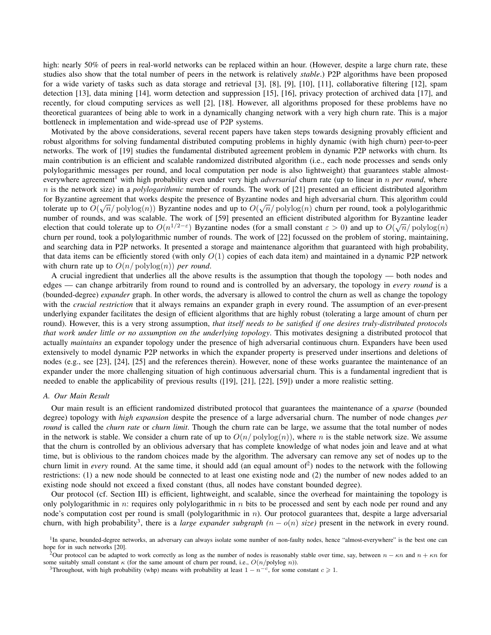high: nearly 50% of peers in real-world networks can be replaced within an hour. (However, despite a large churn rate, these studies also show that the total number of peers in the network is relatively *stable*.) P2P algorithms have been proposed for a wide variety of tasks such as data storage and retrieval [3], [8], [9], [10], [11], collaborative filtering [12], spam detection [13], data mining [14], worm detection and suppression [15], [16], privacy protection of archived data [17], and recently, for cloud computing services as well [2], [18]. However, all algorithms proposed for these problems have no theoretical guarantees of being able to work in a dynamically changing network with a very high churn rate. This is a major bottleneck in implementation and wide-spread use of P2P systems.

Motivated by the above considerations, several recent papers have taken steps towards designing provably efficient and robust algorithms for solving fundamental distributed computing problems in highly dynamic (with high churn) peer-to-peer networks. The work of [19] studies the fundamental distributed agreement problem in dynamic P2P networks with churn. Its main contribution is an efficient and scalable randomized distributed algorithm (i.e., each node processes and sends only polylogarithmic messages per round, and local computation per node is also lightweight) that guarantees stable almosteverywhere agreement<sup>1</sup> with high probability even under very high *adversarial* churn rate (up to linear in *n per round*, where n is the network size) in a *polylogarithmic* number of rounds. The work of [21] presented an efficient distributed algorithm for Byzantine agreement that works despite the presence of Byzantine nodes and high adversarial churn. This algorithm could tolerate up to  $O(\sqrt{n}/\text{polylog}(n))$  Byzantine nodes and up to  $O(\sqrt{n}/\text{polylog}(n))$  churn per round, took a polylogarithmic number of rounds, and was scalable. The work of [59] presented an efficient distributed algorithm for Byzantine leader Humber of founds, and was scalable. The work of [59] presented an emclem distributed algorithm for Byzantine reader<br>election that could tolerate up to  $O(n^{1/2-\epsilon})$  Byzantine nodes (for a small constant  $\varepsilon > 0$ ) and up to churn per round, took a polylogarithmic number of rounds. The work of [22] focussed on the problem of storing, maintaining, and searching data in P2P networks. It presented a storage and maintenance algorithm that guaranteed with high probability, that data items can be efficiently stored (with only  $O(1)$  copies of each data item) and maintained in a dynamic P2P network with churn rate up to  $O(n/\text{polylog}(n))$  *per round.* 

A crucial ingredient that underlies all the above results is the assumption that though the topology — both nodes and edges — can change arbitrarily from round to round and is controlled by an adversary, the topology in *every round* is a (bounded-degree) *expander* graph. In other words, the adversary is allowed to control the churn as well as change the topology with the *crucial restriction* that it always remains an expander graph in every round. The assumption of an ever-present underlying expander facilitates the design of efficient algorithms that are highly robust (tolerating a large amount of churn per round). However, this is a very strong assumption, *that itself needs to be satisfied if one desires truly-distributed protocols that work under little or no assumption on the underlying topology*. This motivates designing a distributed protocol that actually *maintains* an expander topology under the presence of high adversarial continuous churn. Expanders have been used extensively to model dynamic P2P networks in which the expander property is preserved under insertions and deletions of nodes (e.g., see [23], [24], [25] and the references therein). However, none of these works guarantee the maintenance of an expander under the more challenging situation of high continuous adversarial churn. This is a fundamental ingredient that is needed to enable the applicability of previous results ([19], [21], [22], [59]) under a more realistic setting.

#### *A. Our Main Result*

Our main result is an efficient randomized distributed protocol that guarantees the maintenance of a *sparse* (bounded degree) topology with *high expansion* despite the presence of a large adversarial churn. The number of node changes *per round* is called the *churn rate* or *churn limit*. Though the churn rate can be large, we assume that the total number of nodes in the network is stable. We consider a churn rate of up to  $O(n/\text{polylog}(n))$ , where n is the stable network size. We assume that the churn is controlled by an oblivious adversary that has complete knowledge of what nodes join and leave and at what time, but is oblivious to the random choices made by the algorithm. The adversary can remove any set of nodes up to the churn limit in *every* round. At the same time, it should add (an equal amount of<sup>2</sup>) nodes to the network with the following restrictions: (1) a new node should be connected to at least one existing node and (2) the number of new nodes added to an existing node should not exceed a fixed constant (thus, all nodes have constant bounded degree).

Our protocol (cf. Section III) is efficient, lightweight, and scalable, since the overhead for maintaining the topology is only polylogarithmic in n: requires only polylogarithmic in n bits to be processed and sent by each node per round and any node's computation cost per round is small (polylogarithmic in  $n$ ). Our protocol guarantees that, despite a large adversarial churn, with high probability<sup>3</sup>, there is a *large expander subgraph*  $(n - o(n)$  *size*) present in the network in every round.

<sup>&</sup>lt;sup>1</sup>In sparse, bounded-degree networks, an adversary can always isolate some number of non-faulty nodes, hence "almost-everywhere" is the best one can hope for in such networks [20].

<sup>&</sup>lt;sup>2</sup>Our protocol can be adapted to work correctly as long as the number of nodes is reasonably stable over time, say, between  $n - \kappa n$  and  $n + \kappa n$  for some suitably small constant  $\kappa$  (for the same amount of churn per round, i.e.,  $O(n/\text{polylog } n)$ ).

<sup>3</sup>Throughout, with high probability (whp) means with probability at least  $1 - n^{-c}$ , for some constant  $c \geq 1$ .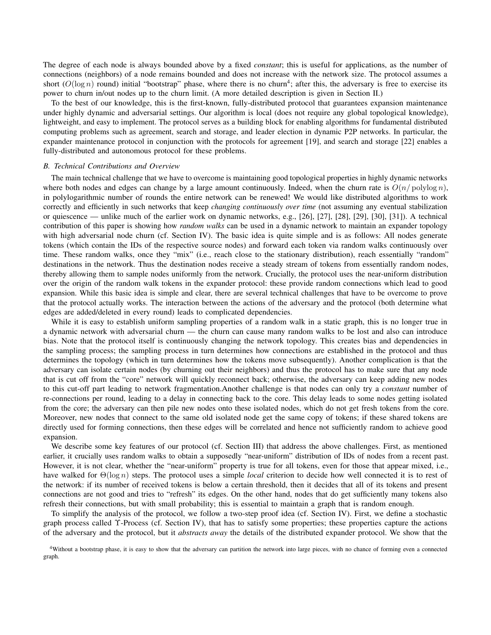The degree of each node is always bounded above by a fixed *constant*; this is useful for applications, as the number of connections (neighbors) of a node remains bounded and does not increase with the network size. The protocol assumes a short  $(O(\log n)$  round) initial "bootstrap" phase, where there is no churn<sup>4</sup>; after this, the adversary is free to exercise its power to churn in/out nodes up to the churn limit. (A more detailed description is given in Section II.)

To the best of our knowledge, this is the first-known, fully-distributed protocol that guarantees expansion maintenance under highly dynamic and adversarial settings. Our algorithm is local (does not require any global topological knowledge), lightweight, and easy to implement. The protocol serves as a building block for enabling algorithms for fundamental distributed computing problems such as agreement, search and storage, and leader election in dynamic P2P networks. In particular, the expander maintenance protocol in conjunction with the protocols for agreement [19], and search and storage [22] enables a fully-distributed and autonomous protocol for these problems.

#### *B. Technical Contributions and Overview*

The main technical challenge that we have to overcome is maintaining good topological properties in highly dynamic networks where both nodes and edges can change by a large amount continuously. Indeed, when the churn rate is  $O(n/\text{polylog } n)$ , in polylogarithmic number of rounds the entire network can be renewed! We would like distributed algorithms to work correctly and efficiently in such networks that keep *changing continuously over time* (not assuming any eventual stabilization or quiescence — unlike much of the earlier work on dynamic networks, e.g., [26], [27], [28], [29], [30], [31]). A technical contribution of this paper is showing how *random walks* can be used in a dynamic network to maintain an expander topology with high adversarial node churn (cf. Section IV). The basic idea is quite simple and is as follows: All nodes generate tokens (which contain the IDs of the respective source nodes) and forward each token via random walks continuously over time. These random walks, once they "mix" (i.e., reach close to the stationary distribution), reach essentially "random" destinations in the network. Thus the destination nodes receive a steady stream of tokens from essentially random nodes, thereby allowing them to sample nodes uniformly from the network. Crucially, the protocol uses the near-uniform distribution over the origin of the random walk tokens in the expander protocol: these provide random connections which lead to good expansion. While this basic idea is simple and clear, there are several technical challenges that have to be overcome to prove that the protocol actually works. The interaction between the actions of the adversary and the protocol (both determine what edges are added/deleted in every round) leads to complicated dependencies.

While it is easy to establish uniform sampling properties of a random walk in a static graph, this is no longer true in a dynamic network with adversarial churn — the churn can cause many random walks to be lost and also can introduce bias. Note that the protocol itself is continuously changing the network topology. This creates bias and dependencies in the sampling process; the sampling process in turn determines how connections are established in the protocol and thus determines the topology (which in turn determines how the tokens move subsequently). Another complication is that the adversary can isolate certain nodes (by churning out their neighbors) and thus the protocol has to make sure that any node that is cut off from the "core" network will quickly reconnect back; otherwise, the adversary can keep adding new nodes to this cut-off part leading to network fragmentation.Another challenge is that nodes can only try a *constant* number of re-connections per round, leading to a delay in connecting back to the core. This delay leads to some nodes getting isolated from the core; the adversary can then pile new nodes onto these isolated nodes, which do not get fresh tokens from the core. Moreover, new nodes that connect to the same old isolated node get the same copy of tokens; if these shared tokens are directly used for forming connections, then these edges will be correlated and hence not sufficiently random to achieve good expansion.

We describe some key features of our protocol (cf. Section III) that address the above challenges. First, as mentioned earlier, it crucially uses random walks to obtain a supposedly "near-uniform" distribution of IDs of nodes from a recent past. However, it is not clear, whether the "near-uniform" property is true for all tokens, even for those that appear mixed, i.e., have walked for Θ(log n) steps. The protocol uses a simple *local* criterion to decide how well connected it is to rest of the network: if its number of received tokens is below a certain threshold, then it decides that all of its tokens and present connections are not good and tries to "refresh" its edges. On the other hand, nodes that do get sufficiently many tokens also refresh their connections, but with small probability; this is essential to maintain a graph that is random enough.

To simplify the analysis of the protocol, we follow a two-step proof idea (cf. Section IV). First, we define a stochastic graph process called Υ-Process (cf. Section IV), that has to satisfy some properties; these properties capture the actions of the adversary and the protocol, but it *abstracts away* the details of the distributed expander protocol. We show that the

<sup>4</sup>Without a bootstrap phase, it is easy to show that the adversary can partition the network into large pieces, with no chance of forming even a connected graph.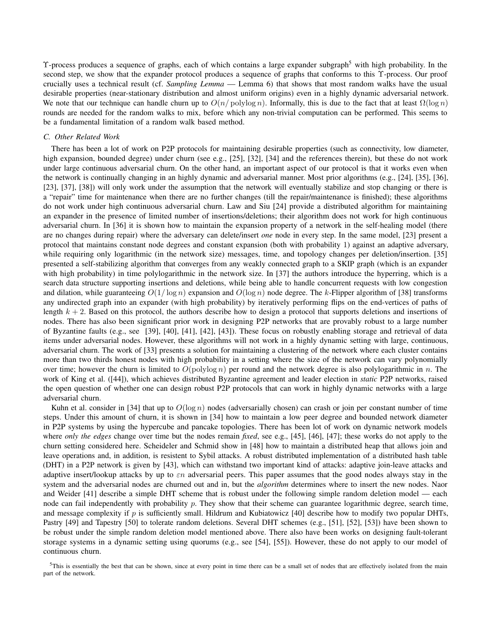$\Upsilon$ -process produces a sequence of graphs, each of which contains a large expander subgraph<sup>5</sup> with high probability. In the second step, we show that the expander protocol produces a sequence of graphs that conforms to this Υ-process. Our proof crucially uses a technical result (cf. *Sampling Lemma* — Lemma 6) that shows that most random walks have the usual desirable properties (near-stationary distribution and almost uniform origins) even in a highly dynamic adversarial network. We note that our technique can handle churn up to  $O(n/\text{polylog } n)$ . Informally, this is due to the fact that at least  $\Omega(\log n)$ rounds are needed for the random walks to mix, before which any non-trivial computation can be performed. This seems to be a fundamental limitation of a random walk based method.

#### *C. Other Related Work*

There has been a lot of work on P2P protocols for maintaining desirable properties (such as connectivity, low diameter, high expansion, bounded degree) under churn (see e.g., [25], [32], [34] and the references therein), but these do not work under large continuous adversarial churn. On the other hand, an important aspect of our protocol is that it works even when the network is continually changing in an highly dynamic and adversarial manner. Most prior algorithms (e.g., [24], [35], [36], [23], [37], [38]) will only work under the assumption that the network will eventually stabilize and stop changing or there is a "repair" time for maintenance when there are no further changes (till the repair/maintenance is finished); these algorithms do not work under high continuous adversarial churn. Law and Siu [24] provide a distributed algorithm for maintaining an expander in the presence of limited number of insertions/deletions; their algorithm does not work for high continuous adversarial churn. In [36] it is shown how to maintain the expansion property of a network in the self-healing model (there are no changes during repair) where the adversary can delete/insert *one* node in every step. In the same model, [23] present a protocol that maintains constant node degrees and constant expansion (both with probability 1) against an adaptive adversary, while requiring only logarithmic (in the network size) messages, time, and topology changes per deletion/insertion. [35] presented a self-stabilizing algorithm that converges from any weakly connected graph to a SKIP graph (which is an expander with high probability) in time polylogarithmic in the network size. In [37] the authors introduce the hyperring, which is a search data structure supporting insertions and deletions, while being able to handle concurrent requests with low congestion and dilation, while guaranteeing  $O(1/\log n)$  expansion and  $O(\log n)$  node degree. The k-Flipper algorithm of [38] transforms any undirected graph into an expander (with high probability) by iteratively performing flips on the end-vertices of paths of length  $k + 2$ . Based on this protocol, the authors describe how to design a protocol that supports deletions and insertions of nodes. There has also been significant prior work in designing P2P networks that are provably robust to a large number of Byzantine faults (e.g., see [39], [40], [41], [42], [43]). These focus on robustly enabling storage and retrieval of data items under adversarial nodes. However, these algorithms will not work in a highly dynamic setting with large, continuous, adversarial churn. The work of [33] presents a solution for maintaining a clustering of the network where each cluster contains more than two thirds honest nodes with high probability in a setting where the size of the network can vary polynomially over time; however the churn is limited to  $O(polylog n)$  per round and the network degree is also polylogarithmic in n. The work of King et al. ([44]), which achieves distributed Byzantine agreement and leader election in *static* P2P networks, raised the open question of whether one can design robust P2P protocols that can work in highly dynamic networks with a large adversarial churn.

Kuhn et al. consider in [34] that up to  $O(\log n)$  nodes (adversarially chosen) can crash or join per constant number of time steps. Under this amount of churn, it is shown in [34] how to maintain a low peer degree and bounded network diameter in P2P systems by using the hypercube and pancake topologies. There has been lot of work on dynamic network models where *only the edges* change over time but the nodes remain *fixed*, see e.g., [45], [46], [47]; these works do not apply to the churn setting considered here. Scheideler and Schmid show in [48] how to maintain a distributed heap that allows join and leave operations and, in addition, is resistent to Sybil attacks. A robust distributed implementation of a distributed hash table (DHT) in a P2P network is given by [43], which can withstand two important kind of attacks: adaptive join-leave attacks and adaptive insert/lookup attacks by up to  $\varepsilon n$  adversarial peers. This paper assumes that the good nodes always stay in the system and the adversarial nodes are churned out and in, but the *algorithm* determines where to insert the new nodes. Naor and Weider [41] describe a simple DHT scheme that is robust under the following simple random deletion model — each node can fail independently with probability  $p$ . They show that their scheme can guarantee logarithmic degree, search time, and message complexity if p is sufficiently small. Hildrum and Kubiatowicz [40] describe how to modify two popular DHTs, Pastry [49] and Tapestry [50] to tolerate random deletions. Several DHT schemes (e.g., [51], [52], [53]) have been shown to be robust under the simple random deletion model mentioned above. There also have been works on designing fault-tolerant storage systems in a dynamic setting using quorums (e.g., see [54], [55]). However, these do not apply to our model of continuous churn.

 $5$ This is essentially the best that can be shown, since at every point in time there can be a small set of nodes that are effectively isolated from the main part of the network.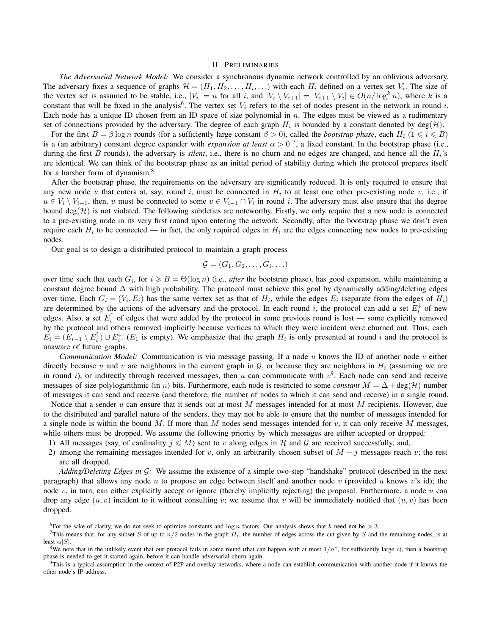#### II. PRELIMINARIES

*The Adversarial Network Model:* We consider a synchronous dynamic network controlled by an oblivious adversary. The adversary fixes a sequence of graphs  $\mathcal{H} = (H_1, H_2, \ldots, H_i, \ldots)$  with each  $H_i$  defined on a vertex set  $V_i$ . The size of the vertex set is assumed to be stable, i.e.,  $|V_i| = n$  for all i, and  $|V_i \setminus V_{i+1}| = |V_{i+1} \setminus V_i| \in O(n/\log^k n)$ , where k is a constant that will be fixed in the analysis<sup>6</sup>. The vertex set  $V_i$  refers to the set of nodes present in the network in round i. Each node has a unique ID chosen from an ID space of size polynomial in  $n$ . The edges must be viewed as a rudimentary set of connections provided by the adversary. The degree of each graph  $H_i$  is bounded by a constant denoted by deg(H).

For the first  $B = \beta \log n$  rounds (for a sufficiently large constant  $\beta > 0$ ), called the *bootstrap phase*, each  $H_i$  ( $1 \le i \le B$ ) is a (an arbitrary) constant degree expander with *expansion at least*  $\alpha > 0$ <sup>7</sup>, a fixed constant. In the bootstrap phase (i.e., during the first  $B$  rounds), the adversary is *silent*, i.e., there is no churn and no edges are changed, and hence all the  $H_i$ 's are identical. We can think of the bootstrap phase as an initial period of stability during which the protocol prepares itself for a harsher form of dynamism.<sup>8</sup>

After the bootstrap phase, the requirements on the adversary are significantly reduced. It is only required to ensure that any new node u that enters at, say, round i, must be connected in  $H_i$  to at least one other pre-existing node v, i.e., if  $u \in V_i \setminus V_{i-1}$ , then, u must be connected to some  $v \in V_{i-1} \cap V_i$  in round i. The adversary must also ensure that the degree bound deg $(H)$  is not violated. The following subtleties are noteworthy. Firstly, we only require that a new node is connected to a pre-existing node in its very first round upon entering the network. Secondly, after the bootstrap phase we don't even require each  $H_i$  to be connected — in fact, the only required edges in  $H_i$  are the edges connecting new nodes to pre-existing nodes.

Our goal is to design a distributed protocol to maintain a graph process

$$
\mathcal{G} = (G_1, G_2, \dots, G_i, \dots)
$$

over time such that each  $G_i$ , for  $i \ge B = \Theta(\log n)$  (i.e., *after* the bootstrap phase), has good expansion, while maintaining a constant degree bound ∆ with high probability. The protocol must achieve this goal by dynamically adding/deleting edges over time. Each  $G_i = (V_i, E_i)$  has the same vertex set as that of  $H_i$ , while the edges  $E_i$  (separate from the edges of  $H_i$ ) are determined by the actions of the adversary and the protocol. In each round i, the protocol can add a set  $E_i^{\downarrow}$  of new edges. Also, a set  $E_i^{\uparrow}$  of edges that were added by the protocol in some previous round is lost — some explicitly removed by the protocol and others removed implicitly because vertices to which they were incident were churned out. Thus, each  $E_i = (E_{i-1} \setminus E_i^{\uparrow}) \cup E_i^{\downarrow}$ . (E<sub>1</sub> is empty). We emphasize that the graph  $H_i$  is only presented at round i and the protocol is unaware of future graphs.

*Communication Model:* Communication is via message passing. If a node u knows the ID of another node v either directly because u and v are neighbours in the current graph in  $G$ , or because they are neighbors in  $H_i$  (assuming we are in round *i*), or indirectly through received messages, then u can communicate with  $v^9$ . Each node can send and receive messages of size polylogarithmic (in n) bits. Furthermore, each node is restricted to some *constant*  $M = \Delta + \deg(\mathcal{H})$  number of messages it can send and receive (and therefore, the number of nodes to which it can send and receive) in a single round.

Notice that a sender  $u$  can ensure that it sends out at most  $M$  messages intended for at most  $M$  recipients. However, due to the distributed and parallel nature of the senders, they may not be able to ensure that the number of messages intended for a single node is within the bound M. If more than M nodes send messages intended for  $v$ , it can only receive M messages, while others must be dropped. We assume the following priority by which messages are either accepted or dropped:

- 1) All messages (say, of cardinality  $j \leq M$ ) sent to v along edges in H and G are received successfully, and,
- 2) among the remaining messages intended for v, only an arbitrarily chosen subset of  $M j$  messages reach v; the rest are all dropped.

*Adding/Deleting Edges in* G*:* We assume the existence of a simple two-step "handshake" protocol (described in the next paragraph) that allows any node u to propose an edge between itself and another node v (provided u knows v's id); the node v, in turn, can either explicitly accept or ignore (thereby implicitly rejecting) the proposal. Furthermore, a node u can drop any edge  $(u, v)$  incident to it without consulting v; we assume that v will be immediately notified that  $(u, v)$  has been dropped.

<sup>&</sup>lt;sup>6</sup>For the sake of clarity, we do not seek to optimize constants and  $\log n$  factors. Our analysis shows that k need not be  $> 3$ .

<sup>&</sup>lt;sup>7</sup>This means that, for any subset S of up to  $n/2$  nodes in the graph  $H_i$ , the number of edges across the cut given by S and the remaining nodes, is at least  $\alpha|S|$ .

<sup>&</sup>lt;sup>8</sup>We note that in the unlikely event that our protocol fails in some round (that can happen with at most  $1/n^c$ , for sufficiently large c), then a bootstrap phase is needed to get it started again, before it can handle adversarial churn again.

 $9$ This is a typical assumption in the context of P2P and overlay networks, where a node can establish communication with another node if it knows the other node's IP address.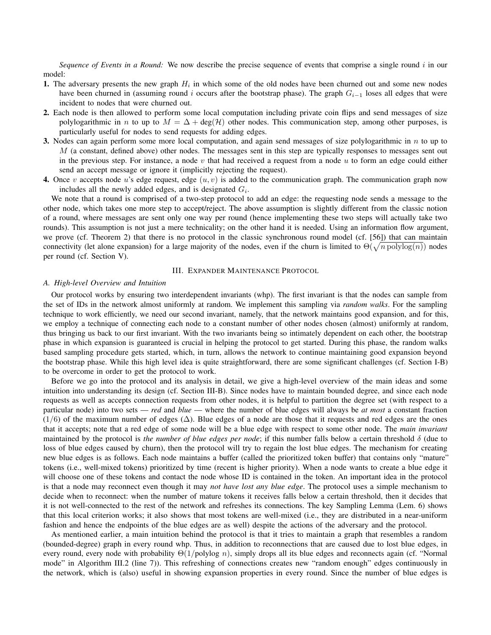*Sequence of Events in a Round:* We now describe the precise sequence of events that comprise a single round i in our model:

- 1. The adversary presents the new graph  $H_i$  in which some of the old nodes have been churned out and some new nodes have been churned in (assuming round i occurs after the bootstrap phase). The graph  $G_{i-1}$  loses all edges that were incident to nodes that were churned out.
- 2. Each node is then allowed to perform some local computation including private coin flips and send messages of size polylogarithmic in n to up to  $M = \Delta + \deg(\mathcal{H})$  other nodes. This communication step, among other purposes, is particularly useful for nodes to send requests for adding edges.
- 3. Nodes can again perform some more local computation, and again send messages of size polylogarithmic in  $n$  to up to  $M$  (a constant, defined above) other nodes. The messages sent in this step are typically responses to messages sent out in the previous step. For instance, a node v that had received a request from a node u to form an edge could either send an accept message or ignore it (implicitly rejecting the request).
- 4. Once v accepts node u's edge request, edge  $(u, v)$  is added to the communication graph. The communication graph now includes all the newly added edges, and is designated  $G_i$ .

We note that a round is comprised of a two-step protocol to add an edge: the requesting node sends a message to the other node, which takes one more step to accept/reject. The above assumption is slightly different from the classic notion of a round, where messages are sent only one way per round (hence implementing these two steps will actually take two rounds). This assumption is not just a mere technicality; on the other hand it is needed. Using an information flow argument, we prove (cf. Theorem 2) that there is no protocol in the classic synchronous round model (cf. [56]) that can maintain connectivity (let alone expansion) for a large majority of the nodes, even if the churn is limited to  $\Theta(\sqrt{n \text{ polylog}(n)})$  nodes per round (cf. Section V).

## III. EXPANDER MAINTENANCE PROTOCOL

#### *A. High-level Overview and Intuition*

Our protocol works by ensuring two interdependent invariants (whp). The first invariant is that the nodes can sample from the set of IDs in the network almost uniformly at random. We implement this sampling via *random walks*. For the sampling technique to work efficiently, we need our second invariant, namely, that the network maintains good expansion, and for this, we employ a technique of connecting each node to a constant number of other nodes chosen (almost) uniformly at random, thus bringing us back to our first invariant. With the two invariants being so intimately dependent on each other, the bootstrap phase in which expansion is guaranteed is crucial in helping the protocol to get started. During this phase, the random walks based sampling procedure gets started, which, in turn, allows the network to continue maintaining good expansion beyond the bootstrap phase. While this high level idea is quite straightforward, there are some significant challenges (cf. Section I-B) to be overcome in order to get the protocol to work.

Before we go into the protocol and its analysis in detail, we give a high-level overview of the main ideas and some intuition into understanding its design (cf. Section III-B). Since nodes have to maintain bounded degree, and since each node requests as well as accepts connection requests from other nodes, it is helpful to partition the degree set (with respect to a particular node) into two sets — *red* and *blue* — where the number of blue edges will always be *at most* a constant fraction  $(1/6)$  of the maximum number of edges  $(\Delta)$ . Blue edges of a node are those that it requests and red edges are the ones that it accepts; note that a red edge of some node will be a blue edge with respect to some other node. The *main invariant* maintained by the protocol is *the number of blue edges per node*; if this number falls below a certain threshold δ (due to loss of blue edges caused by churn), then the protocol will try to regain the lost blue edges. The mechanism for creating new blue edges is as follows. Each node maintains a buffer (called the prioritized token buffer) that contains only "mature" tokens (i.e., well-mixed tokens) prioritized by time (recent is higher priority). When a node wants to create a blue edge it will choose one of these tokens and contact the node whose ID is contained in the token. An important idea in the protocol is that a node may reconnect even though it may *not have lost any blue edge*. The protocol uses a simple mechanism to decide when to reconnect: when the number of mature tokens it receives falls below a certain threshold, then it decides that it is not well-connected to the rest of the network and refreshes its connections. The key Sampling Lemma (Lem. 6) shows that this local criterion works; it also shows that most tokens are well-mixed (i.e., they are distributed in a near-uniform fashion and hence the endpoints of the blue edges are as well) despite the actions of the adversary and the protocol.

As mentioned earlier, a main intuition behind the protocol is that it tries to maintain a graph that resembles a random (bounded-degree) graph in every round whp. Thus, in addition to reconnections that are caused due to lost blue edges, in every round, every node with probability  $\Theta(1/\text{polylog } n)$ , simply drops all its blue edges and reconnects again (cf. "Normal") mode" in Algorithm III.2 (line 7)). This refreshing of connections creates new "random enough" edges continuously in the network, which is (also) useful in showing expansion properties in every round. Since the number of blue edges is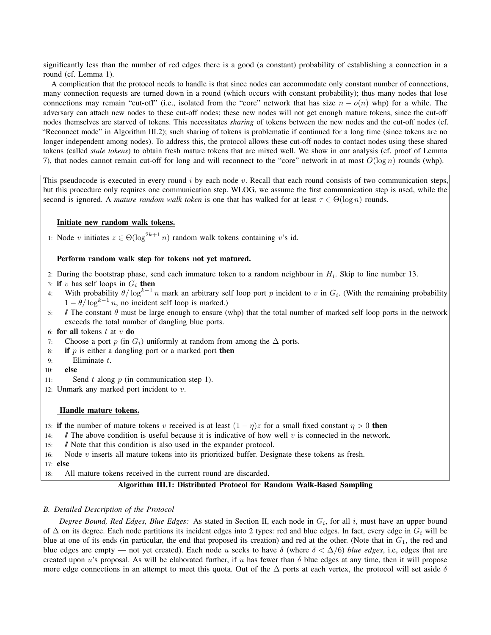significantly less than the number of red edges there is a good (a constant) probability of establishing a connection in a round (cf. Lemma 1).

A complication that the protocol needs to handle is that since nodes can accommodate only constant number of connections, many connection requests are turned down in a round (which occurs with constant probability); thus many nodes that lose connections may remain "cut-off" (i.e., isolated from the "core" network that has size  $n - o(n)$  whp) for a while. The adversary can attach new nodes to these cut-off nodes; these new nodes will not get enough mature tokens, since the cut-off nodes themselves are starved of tokens. This necessitates *sharing* of tokens between the new nodes and the cut-off nodes (cf. "Reconnect mode" in Algorithm III.2); such sharing of tokens is problematic if continued for a long time (since tokens are no longer independent among nodes). To address this, the protocol allows these cut-off nodes to contact nodes using these shared tokens (called *stale tokens*) to obtain fresh mature tokens that are mixed well. We show in our analysis (cf. proof of Lemma 7), that nodes cannot remain cut-off for long and will reconnect to the "core" network in at most  $O(\log n)$  rounds (whp).

This pseudocode is executed in every round  $i$  by each node  $v$ . Recall that each round consists of two communication steps, but this procedure only requires one communication step. WLOG, we assume the first communication step is used, while the second is ignored. A *mature random walk token* is one that has walked for at least  $\tau \in \Theta(\log n)$  rounds.

## Initiate new random walk tokens.

1: Node v initiates  $z \in \Theta(\log^{2k+1} n)$  random walk tokens containing v's id.

## Perform random walk step for tokens not yet matured.

- 2: During the bootstrap phase, send each immature token to a random neighbour in  $H_i$ . Skip to line number 13.
- 3: if v has self loops in  $G_i$  then
- 4: With probability  $\theta/\log^{k-1} n$  mark an arbitrary self loop port p incident to v in  $G_i$ . (With the remaining probability  $1 - \theta / \log^{k-1} n$ , no incident self loop is marked.)
- 5: // The constant  $\theta$  must be large enough to ensure (whp) that the total number of marked self loop ports in the network exceeds the total number of dangling blue ports.
- 6: for all tokens  $t$  at  $v$  do
- 7: Choose a port p (in  $G_i$ ) uniformly at random from among the  $\Delta$  ports.
- 8: if  $p$  is either a dangling port or a marked port then
- 9: Eliminate  $t$ .
- 10: else
- 11: Send  $t$  along  $p$  (in communication step 1).
- 12: Unmark any marked port incident to  $v$ .

#### Handle mature tokens.

13: if the number of mature tokens v received is at least  $(1 - \eta)z$  for a small fixed constant  $\eta > 0$  then

- 14:  $\#$  The above condition is useful because it is indicative of how well v is connected in the network.
- 15: // Note that this condition is also used in the expander protocol.
- 16: Node  $v$  inserts all mature tokens into its prioritized buffer. Designate these tokens as fresh.
- 17: else
- 18: All mature tokens received in the current round are discarded.

## Algorithm III.1: Distributed Protocol for Random Walk-Based Sampling

#### *B. Detailed Description of the Protocol*

Degree Bound, Red Edges, Blue Edges: As stated in Section II, each node in  $G_i$ , for all i, must have an upper bound of  $\Delta$  on its degree. Each node partitions its incident edges into 2 types: red and blue edges. In fact, every edge in  $G_i$  will be blue at one of its ends (in particular, the end that proposed its creation) and red at the other. (Note that in  $G_1$ , the red and blue edges are empty — not yet created). Each node u seeks to have  $\delta$  (where  $\delta < \Delta/6$ ) *blue edges*, i.e, edges that are created upon u's proposal. As will be elaborated further, if u has fewer than  $\delta$  blue edges at any time, then it will propose more edge connections in an attempt to meet this quota. Out of the  $\Delta$  ports at each vertex, the protocol will set aside  $\delta$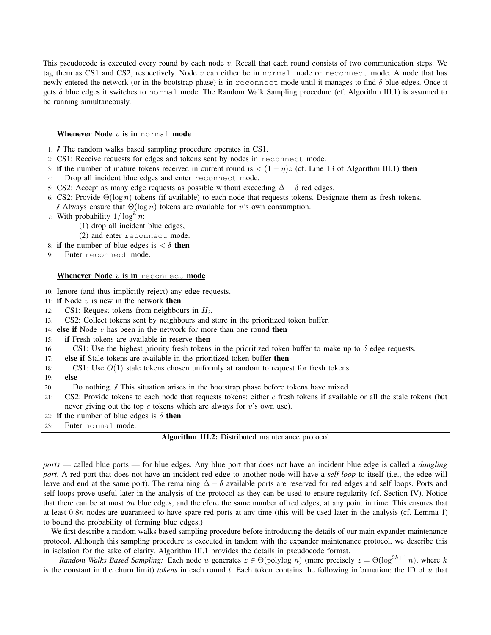This pseudocode is executed every round by each node  $v$ . Recall that each round consists of two communication steps. We tag them as CS1 and CS2, respectively. Node  $v$  can either be in normal mode or reconnect mode. A node that has newly entered the network (or in the bootstrap phase) is in reconnect mode until it manages to find  $\delta$  blue edges. Once it gets  $\delta$  blue edges it switches to normal mode. The Random Walk Sampling procedure (cf. Algorithm III.1) is assumed to be running simultaneously.

## Whenever Node  $v$  is in normal mode

- 1: // The random walks based sampling procedure operates in CS1.
- 2: CS1: Receive requests for edges and tokens sent by nodes in reconnect mode.
- 3: if the number of mature tokens received in current round is  $\langle (1 \eta)z \rangle$  (cf. Line 13 of Algorithm III.1) then
- 4: Drop all incident blue edges and enter reconnect mode.
- 5: CS2: Accept as many edge requests as possible without exceeding  $\Delta \delta$  red edges.
- 6: CS2: Provide  $\Theta(\log n)$  tokens (if available) to each node that requests tokens. Designate them as fresh tokens. *//* Always ensure that  $\Theta(\log n)$  tokens are available for v's own consumption.
- 7: With probability  $1/\log^k n$ :
	- (1) drop all incident blue edges,
	- (2) and enter reconnect mode.
- 8: if the number of blue edges is  $\langle \delta \rangle$  then
- 9: Enter reconnect mode.

#### Whenever Node  $v$  is in reconnect mode

- 10: Ignore (and thus implicitly reject) any edge requests.
- 11: **if** Node  $v$  is new in the network **then**
- 12: CS1: Request tokens from neighbours in  $H_i$ .
- 13: CS2: Collect tokens sent by neighbours and store in the prioritized token buffer.
- 14: else if Node  $v$  has been in the network for more than one round then
- 15: if Fresh tokens are available in reserve then
- 16: CS1: Use the highest priority fresh tokens in the prioritized token buffer to make up to  $\delta$  edge requests.
- 17: else if Stale tokens are available in the prioritized token buffer then
- 18: CS1: Use  $O(1)$  stale tokens chosen uniformly at random to request for fresh tokens.
- 19: else
- 20: Do nothing. // This situation arises in the bootstrap phase before tokens have mixed.
- 21: CS2: Provide tokens to each node that requests tokens: either  $c$  fresh tokens if available or all the stale tokens (but never giving out the top  $c$  tokens which are always for  $v$ 's own use).
- 22: if the number of blue edges is  $\delta$  then
- 23: Enter normal mode.

Algorithm III.2: Distributed maintenance protocol

*ports* — called blue ports — for blue edges. Any blue port that does not have an incident blue edge is called a *dangling port*. A red port that does not have an incident red edge to another node will have a *self-loop* to itself (i.e., the edge will leave and end at the same port). The remaining  $\Delta - \delta$  available ports are reserved for red edges and self loops. Ports and self-loops prove useful later in the analysis of the protocol as they can be used to ensure regularity (cf. Section IV). Notice that there can be at most  $\delta n$  blue edges, and therefore the same number of red edges, at any point in time. This ensures that at least 0.8n nodes are guaranteed to have spare red ports at any time (this will be used later in the analysis (cf. Lemma 1) to bound the probability of forming blue edges.)

We first describe a random walks based sampling procedure before introducing the details of our main expander maintenance protocol. Although this sampling procedure is executed in tandem with the expander maintenance protocol, we describe this in isolation for the sake of clarity. Algorithm III.1 provides the details in pseudocode format.

*Random Walks Based Sampling:* Each node u generates  $z \in \Theta(\text{polylog } n)$  (more precisely  $z = \Theta(\log^{2k+1} n)$ , where k is the constant in the churn limit) *tokens* in each round t. Each token contains the following information: the ID of u that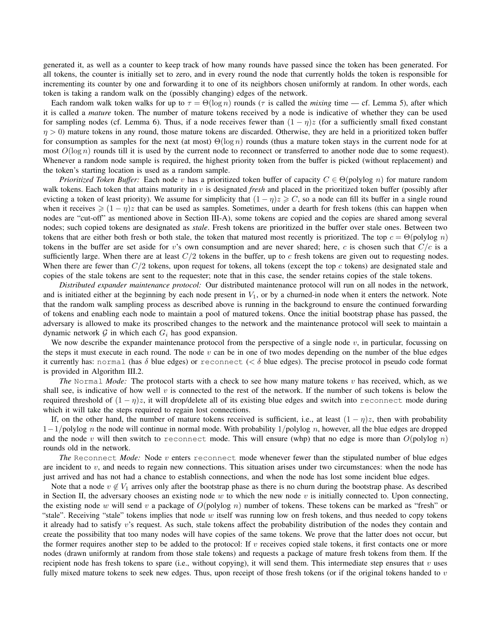generated it, as well as a counter to keep track of how many rounds have passed since the token has been generated. For all tokens, the counter is initially set to zero, and in every round the node that currently holds the token is responsible for incrementing its counter by one and forwarding it to one of its neighbors chosen uniformly at random. In other words, each token is taking a random walk on the (possibly changing) edges of the network.

Each random walk token walks for up to  $\tau = \Theta(\log n)$  rounds ( $\tau$  is called the *mixing* time — cf. Lemma 5), after which it is called a *mature* token. The number of mature tokens received by a node is indicative of whether they can be used for sampling nodes (cf. Lemma 6). Thus, if a node receives fewer than  $(1 - \eta)z$  (for a sufficiently small fixed constant  $\eta > 0$ ) mature tokens in any round, those mature tokens are discarded. Otherwise, they are held in a prioritized token buffer for consumption as samples for the next (at most)  $\Theta(\log n)$  rounds (thus a mature token stays in the current node for at most  $O(\log n)$  rounds till it is used by the current node to reconnect or transferred to another node due to some request). Whenever a random node sample is required, the highest priority token from the buffer is picked (without replacement) and the token's starting location is used as a random sample.

*Prioritized Token Buffer:* Each node v has a prioritized token buffer of capacity  $C \in \Theta(\text{polylog } n)$  for mature random walk tokens. Each token that attains maturity in v is designated *fresh* and placed in the prioritized token buffer (possibly after evicting a token of least priority). We assume for simplicity that  $(1 - \eta)z \geqslant C$ , so a node can fill its buffer in a single round when it receives  $\geqslant (1 - \eta)z$  that can be used as samples. Sometimes, under a dearth for fresh tokens (this can happen when nodes are "cut-off" as mentioned above in Section III-A), some tokens are copied and the copies are shared among several nodes; such copied tokens are designated as *stale*. Fresh tokens are prioritized in the buffer over stale ones. Between two tokens that are either both fresh or both stale, the token that matured most recently is prioritized. The top  $c = \Theta(\text{polylog } n)$ tokens in the buffer are set aside for v's own consumption and are never shared; here, c is chosen such that  $C/c$  is a sufficiently large. When there are at least  $C/2$  tokens in the buffer, up to c fresh tokens are given out to requesting nodes. When there are fewer than  $C/2$  tokens, upon request for tokens, all tokens (except the top c tokens) are designated stale and copies of the stale tokens are sent to the requester; note that in this case, the sender retains copies of the stale tokens.

*Distributed expander maintenance protocol:* Our distributed maintenance protocol will run on all nodes in the network, and is initiated either at the beginning by each node present in  $V_1$ , or by a churned-in node when it enters the network. Note that the random walk sampling process as described above is running in the background to ensure the continued forwarding of tokens and enabling each node to maintain a pool of matured tokens. Once the initial bootstrap phase has passed, the adversary is allowed to make its proscribed changes to the network and the maintenance protocol will seek to maintain a dynamic network  $G$  in which each  $G_i$  has good expansion.

We now describe the expander maintenance protocol from the perspective of a single node  $v$ , in particular, focussing on the steps it must execute in each round. The node  $v$  can be in one of two modes depending on the number of the blue edges it currently has: normal (has  $\delta$  blue edges) or reconnect ( $\delta$  blue edges). The precise protocol in pseudo code format is provided in Algorithm III.2.

*The* Normal *Mode:* The protocol starts with a check to see how many mature tokens v has received, which, as we shall see, is indicative of how well v is connected to the rest of the network. If the number of such tokens is below the required threshold of  $(1 - \eta)z$ , it will drop/delete all of its existing blue edges and switch into reconnect mode during which it will take the steps required to regain lost connections.

If, on the other hand, the number of mature tokens received is sufficient, i.e., at least  $(1 - \eta)z$ , then with probability  $1-1/p$ olylog n the node will continue in normal mode. With probability  $1/p$ olylog n, however, all the blue edges are dropped and the node v will then switch to reconnect mode. This will ensure (whp) that no edge is more than  $O(polylog n)$ rounds old in the network.

*The* Reconnect *Mode:* Node v enters reconnect mode whenever fewer than the stipulated number of blue edges are incident to  $v$ , and needs to regain new connections. This situation arises under two circumstances: when the node has just arrived and has not had a chance to establish connections, and when the node has lost some incident blue edges.

Note that a node  $v \notin V_1$  arrives only after the bootstrap phase as there is no churn during the bootstrap phase. As described in Section II, the adversary chooses an existing node w to which the new node v is initially connected to. Upon connecting, the existing node w will send v a package of  $O(polylog n)$  number of tokens. These tokens can be marked as "fresh" or "stale". Receiving "stale" tokens implies that node  $w$  itself was running low on fresh tokens, and thus needed to copy tokens it already had to satisfy v's request. As such, stale tokens affect the probability distribution of the nodes they contain and create the possibility that too many nodes will have copies of the same tokens. We prove that the latter does not occur, but the former requires another step to be added to the protocol: If  $v$  receives copied stale tokens, it first contacts one or more nodes (drawn uniformly at random from those stale tokens) and requests a package of mature fresh tokens from them. If the recipient node has fresh tokens to spare (i.e., without copying), it will send them. This intermediate step ensures that  $v$  uses fully mixed mature tokens to seek new edges. Thus, upon receipt of those fresh tokens (or if the original tokens handed to  $v$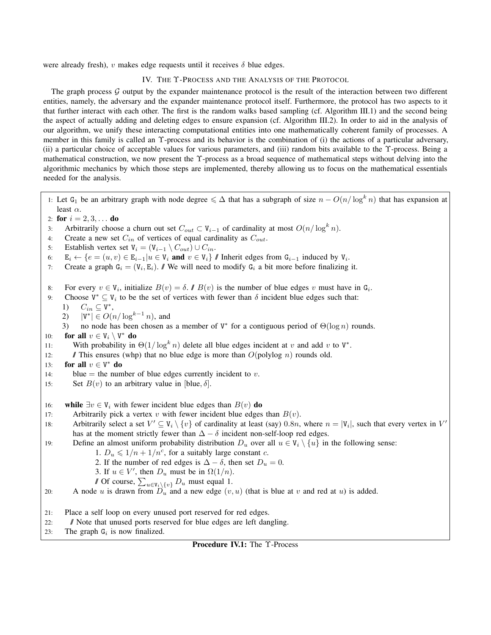were already fresh),  $v$  makes edge requests until it receives  $\delta$  blue edges.

## IV. THE Υ-PROCESS AND THE ANALYSIS OF THE PROTOCOL

The graph process  $G$  output by the expander maintenance protocol is the result of the interaction between two different entities, namely, the adversary and the expander maintenance protocol itself. Furthermore, the protocol has two aspects to it that further interact with each other. The first is the random walks based sampling (cf. Algorithm III.1) and the second being the aspect of actually adding and deleting edges to ensure expansion (cf. Algorithm III.2). In order to aid in the analysis of our algorithm, we unify these interacting computational entities into one mathematically coherent family of processes. A member in this family is called an Υ-process and its behavior is the combination of (i) the actions of a particular adversary, (ii) a particular choice of acceptable values for various parameters, and (iii) random bits available to the Υ-process. Being a mathematical construction, we now present the Υ-process as a broad sequence of mathematical steps without delving into the algorithmic mechanics by which those steps are implemented, thereby allowing us to focus on the mathematical essentials needed for the analysis.

- 1: Let G<sub>1</sub> be an arbitrary graph with node degree  $\leq \Delta$  that has a subgraph of size  $n O(n/\log^k n)$  that has expansion at least  $\alpha$ .
- 2: for  $i = 2, 3, \ldots$  do
- 3: Arbitrarily choose a churn out set  $C_{out} \subset V_{i-1}$  of cardinality at most  $O(n/\log^k n)$ .
- 4: Create a new set  $C_{in}$  of vertices of equal cardinality as  $C_{out}$ .
- 5: Establish vertex set  $V_i = (V_{i-1} \setminus C_{out}) \cup C_{in}$ .
- 6:  $\mathbf{E}_i \leftarrow \{e = (u, v) \in \mathbf{E}_{i-1} | u \in V_i \text{ and } v \in V_i\}$  *I* Inherit edges from  $\mathbf{G}_{i-1}$  induced by  $V_i$ .
- 7: Create a graph  $G_i = (V_i, E_i)$ . *I* We will need to modify  $G_i$  a bit more before finalizing it.
- 8: For every  $v \in V_i$ , initialize  $B(v) = \delta$ . *II*  $B(v)$  is the number of blue edges v must have in  $G_i$ .
- 9: Choose  $V^* \subseteq V_i$  to be the set of vertices with fewer than  $\delta$  incident blue edges such that:
	- 1)  $C_{in} \subseteq V^*$ ,
	- 2)  $|V^*| \in O(n/\log^{k-1} n)$ , and
- 3) no node has been chosen as a member of  $V^*$  for a contiguous period of  $\Theta(\log n)$  rounds.
- 10: **for all**  $v \in V_i \setminus V^*$  **do**
- 11: With probability in  $\Theta(1/\log^k n)$  delete all blue edges incident at v and add v to V<sup>\*</sup>.
- 12:  $\#$  This ensures (whp) that no blue edge is more than  $O(polylog n)$  rounds old.
- 13: for all  $v \in V^*$  do
- 14: blue = the number of blue edges currently incident to  $v$ .
- 15: Set  $B(v)$  to an arbitrary value in [blue,  $\delta$ ].
- 16: while  $∃v ∈ V<sub>i</sub>$  with fewer incident blue edges than  $B(v)$  do
- 17: Arbitrarily pick a vertex v with fewer incident blue edges than  $B(v)$ .
- 18: Arbitrarily select a set  $V' \subseteq V_i \setminus \{v\}$  of cardinality at least (say) 0.8n, where  $n = |V_i|$ , such that every vertex in  $V'$ has at the moment strictly fewer than  $\Delta - \delta$  incident non-self-loop red edges.
- 19: Define an almost uniform probability distribution  $D_u$  over all  $u \in V_i \setminus \{u\}$  in the following sense:
	- 1.  $D_u \leq 1/n + 1/n^c$ , for a suitably large constant c.
	- 2. If the number of red edges is  $\Delta \delta$ , then set  $D_u = 0$ .
	- 3. If  $u \in V'$ , then  $D_u$  must be in  $\Omega(1/n)$ .
	- $\ell$  Of course,  $\sum_{u \in V_i \setminus \{v\}} D_u$  must equal 1.
- 20: A node u is drawn from  $D_u$  and a new edge  $(v, u)$  (that is blue at v and red at u) is added.
- 21: Place a self loop on every unused port reserved for red edges.
- 22: *//* Note that unused ports reserved for blue edges are left dangling.
- 23: The graph  $G_i$  is now finalized.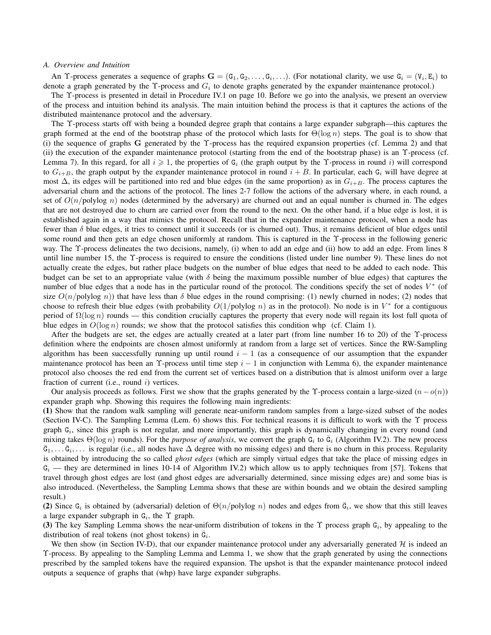## *A. Overview and Intuition*

An  $\Upsilon$ -process generates a sequence of graphs  $\mathbf{G} = (G_1, G_2, \ldots, G_i, \ldots)$ . (For notational clarity, we use  $G_i = (V_i, E_i)$  to denote a graph generated by the  $\Upsilon$ -process and  $G_i$  to denote graphs generated by the expander maintenance protocol.)

The Υ-process is presented in detail in Procedure IV.1 on page 10. Before we go into the analysis, we present an overview of the process and intuition behind its analysis. The main intuition behind the process is that it captures the actions of the distributed maintenance protocol and the adversary.

The Υ-process starts off with being a bounded degree graph that contains a large expander subgraph—this captures the graph formed at the end of the bootstrap phase of the protocol which lasts for  $\Theta(\log n)$  steps. The goal is to show that (i) the sequence of graphs G generated by the Υ-process has the required expansion properties (cf. Lemma 2) and that (ii) the execution of the expander maintenance protocol (starting from the end of the bootstrap phase) is an Υ-process (cf. Lemma 7). In this regard, for all  $i \geqslant 1$ , the properties of G<sub>i</sub> (the graph output by the Y-process in round i) will correspond to  $G_{i+B}$ , the graph output by the expander maintenance protocol in round  $i+B$ . In particular, each  $G_i$  will have degree at most  $\Delta$ , its edges will be partitioned into red and blue edges (in the same proportion) as in  $G_{i+B}$ . The process captures the adversarial churn and the actions of the protocol. The lines 2-7 follow the actions of the adversary where, in each round, a set of  $O(n/polylog n)$  nodes (determined by the adversary) are churned out and an equal number is churned in. The edges that are not destroyed due to churn are carried over from the round to the next. On the other hand, if a blue edge is lost, it is established again in a way that mimics the protocol. Recall that in the expander maintenance protocol, when a node has fewer than  $\delta$  blue edges, it tries to connect until it succeeds (or is churned out). Thus, it remains deficient of blue edges until some round and then gets an edge chosen uniformly at random. This is captured in the Υ-process in the following generic way. The Υ-process delineates the two decisions, namely, (i) when to add an edge and (ii) how to add an edge. From lines 8 until line number 15, the Υ-process is required to ensure the conditions (listed under line number 9). These lines do not actually create the edges, but rather place budgets on the number of blue edges that need to be added to each node. This budget can be set to an appropriate value (with  $\delta$  being the maximum possible number of blue edges) that captures the number of blue edges that a node has in the particular round of the protocol. The conditions specify the set of nodes  $V^*$  (of size  $O(n/\text{polylog } n)$ ) that have less than  $\delta$  blue edges in the round comprising: (1) newly churned in nodes; (2) nodes that choose to refresh their blue edges (with probability  $O(1/\text{polylog } n)$  as in the protocol). No node is in  $V^*$  for a contiguous period of  $\Omega(\log n)$  rounds — this condition crucially captures the property that every node will regain its lost full quota of blue edges in  $O(\log n)$  rounds; we show that the protocol satisfies this condition whp (cf. Claim 1).

After the budgets are set, the edges are actually created at a later part (from line number 16 to 20) of the Υ-process definition where the endpoints are chosen almost uniformly at random from a large set of vertices. Since the RW-Sampling algorithm has been successfully running up until round  $i - 1$  (as a consequence of our assumption that the expander maintenance protocol has been an  $\Upsilon$ -process until time step  $i - 1$  in conjunction with Lemma 6), the expander maintenance protocol also chooses the red end from the current set of vertices based on a distribution that is almost uniform over a large fraction of current (i.e., round  $i$ ) vertices.

Our analysis proceeds as follows. First we show that the graphs generated by the  $\Upsilon$ -process contain a large-sized  $(n-o(n))$ expander graph whp. Showing this requires the following main ingredients:

(1) Show that the random walk sampling will generate near-uniform random samples from a large-sized subset of the nodes (Section IV-C). The Sampling Lemma (Lem. 6) shows this. For technical reasons it is difficult to work with the Υ process graph  $G_i$ , since this graph is not regular, and more importantly, this graph is dynamically changing in every round (and mixing takes  $\Theta(\log n)$  rounds). For the *purpose of analysis*, we convert the graph  $G_i$  to  $\overline{G}_i$  (Algorithm IV.2). The new process  $\bar{G}_1, \ldots, \bar{G}_i, \ldots$  is regular (i.e., all nodes have  $\Delta$  degree with no missing edges) and there is no churn in this process. Regularity is obtained by introducing the so called *ghost edges* (which are simply virtual edges that take the place of missing edges in  $G_i$  — they are determined in lines 10-14 of Algorithm IV.2) which allow us to apply techniques from [57]. Tokens that travel through ghost edges are lost (and ghost edges are adversarially determined, since missing edges are) and some bias is also introduced. (Nevertheless, the Sampling Lemma shows that these are within bounds and we obtain the desired sampling result.)

(2) Since G<sub>i</sub> is obtained by (adversarial) deletion of  $\Theta(n/\text{polylog } n)$  nodes and edges from  $\overline{G}_i$ , we show that this still leaves a large expander subgraph in  $G_i$ , the  $\Upsilon$  graph.

(3) The key Sampling Lemma shows the near-uniform distribution of tokens in the  $\Upsilon$  process graph  $G_i$ , by appealing to the distribution of real tokens (not ghost tokens) in  $\bar{G}_i$ .

We then show (in Section IV-D), that our expander maintenance protocol under any adversarially generated  $H$  is indeed an Υ-process. By appealing to the Sampling Lemma and Lemma 1, we show that the graph generated by using the connections prescribed by the sampled tokens have the required expansion. The upshot is that the expander maintenance protocol indeed outputs a sequence of graphs that (whp) have large expander subgraphs.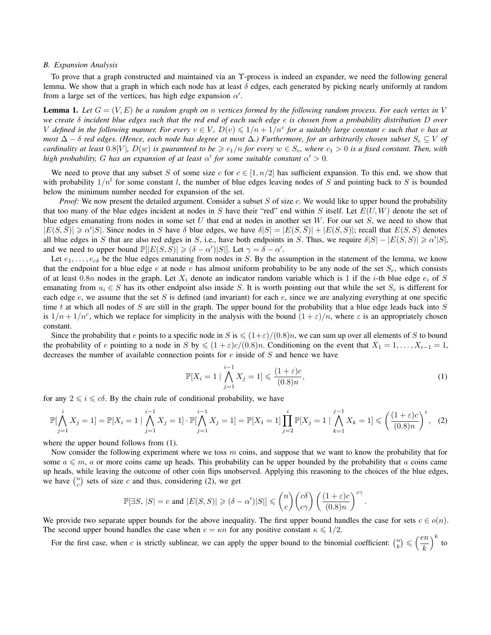#### *B. Expansion Analysis*

To prove that a graph constructed and maintained via an Υ-process is indeed an expander, we need the following general lemma. We show that a graph in which each node has at least  $\delta$  edges, each generated by picking nearly uniformly at random from a large set of the vertices, has high edge expansion  $\alpha'$ .

**Lemma 1.** Let  $G = (V, E)$  be a random graph on *n* vertices formed by the following random process. For each vertex in V *we create* δ *incident blue edges such that the red end of each such edge* e *is chosen from a probability distribution* D *over* V defined in the following manner. For every  $v \in V$ ,  $D(v) \leq 1/n + 1/n^c$  for a suitably large constant c such that v has at *most* ∆ − δ *red edges. (Hence, each node has degree at most* ∆*.) Furthermore, for an arbitrarily chosen subset* S<sup>e</sup> ⊆ V *of cardinality at least*  $0.8|V|$ *,*  $D(w)$  *is guaranteed to be*  $\geq c_1/n$  *for every*  $w \in S_e$ *, where*  $c_1 > 0$  *is a fixed constant. Then, with high probability, G has an expansion of at least*  $\alpha'$  for some suitable constant  $\alpha' > 0$ .

We need to prove that any subset S of some size c for  $c \in [1, n/2]$  has sufficient expansion. To this end, we show that with probability  $1/n^l$  for some constant l, the number of blue edges leaving nodes of S and pointing back to S is bounded below the minimum number needed for expansion of the set.

*Proof:* We now present the detailed argument. Consider a subset S of size c. We would like to upper bound the probability that too many of the blue edges incident at nodes in S have their "red" end within S itself. Let  $E(U, W)$  denote the set of blue edges emanating from nodes in some set  $U$  that end at nodes in another set  $W$ . For our set  $S$ , we need to show that  $|E(S, \overline{S})| \ge \alpha' |S|$ . Since nodes in S have  $\delta$  blue edges, we have  $\delta|S| = |E(S, \overline{S})| + |E(S, S)|$ ; recall that  $E(S, S)$  denotes all blue edges in S that are also red edges in S, i.e., have both endpoints in S. Thus, we require  $\delta|S| - |E(S, S)| \ge \alpha' |S|$ , and we need to upper bound  $\mathbb{P}[|E(S, S)| \geq (\delta - \alpha')|S|]$ . Let  $\gamma = \delta - \alpha'$ .

Let  $e_1, \ldots, e_{c\delta}$  be the blue edges emanating from nodes in S. By the assumption in the statement of the lemma, we know that the endpoint for a blue edge e at node v has almost uniform probability to be any node of the set  $S_e$ , which consists of at least 0.8n nodes in the graph. Let  $X_i$  denote an indicator random variable which is 1 if the *i*-th blue edge  $e_i$  of S emanating from  $u_i \in S$  has its other endpoint also inside S. It is worth pointing out that while the set  $S_e$  is different for each edge  $e$ , we assume that the set S is defined (and invariant) for each  $e$ , since we are analyzing everything at one specific time t at which all nodes of S are still in the graph. The upper bound for the probability that a blue edge leads back into S is  $1/n + 1/n^c$ , which we replace for simplicity in the analysis with the bound  $(1+\varepsilon)/n$ , where  $\varepsilon$  is an appropriately chosen constant.

Since the probability that e points to a specific node in S is  $\leq (1+\varepsilon)/(0.8)n$ , we can sum up over all elements of S to bound the probability of e pointing to a node in S by  $\leq (1+\varepsilon)c/(0.8)n$ . Conditioning on the event that  $X_1 = 1, \ldots, X_{i-1} = 1$ , decreases the number of available connection points for  $e$  inside of  $S$  and hence we have

$$
\mathbb{P}[X_i = 1 \mid \bigwedge_{j=1}^{i-1} X_j = 1] \leq \frac{(1+\varepsilon)c}{(0.8)n},\tag{1}
$$

.

for any  $2 \leq i \leq c\delta$ . By the chain rule of conditional probability, we have

$$
\mathbb{P}[\bigwedge_{j=1}^{i} X_j = 1] = \mathbb{P}[X_i = 1 \mid \bigwedge_{j=1}^{i-1} X_j = 1] \cdot \mathbb{P}[\bigwedge_{j=1}^{i-1} X_j = 1] = \mathbb{P}[X_1 = 1] \prod_{j=2}^{i} \mathbb{P}[X_j = 1 \mid \bigwedge_{k=1}^{j-1} X_k = 1] \le \left(\frac{(1+\varepsilon)c}{(0.8)n}\right)^i, (2)
$$

where the upper bound follows from (1).

Now consider the following experiment where we toss  $m$  coins, and suppose that we want to know the probability that for some  $a \leq m$ , a or more coins came up heads. This probability can be upper bounded by the probability that a coins came up heads, while leaving the outcome of other coin flips unobserved. Applying this reasoning to the choices of the blue edges, we have  $\binom{n}{c}$  sets of size c and thus, considering (2), we get

$$
\mathbb{P}[\exists S,\, |S| = c \text{ and } |E(S, S)| \geq (\delta - \alpha')|S|] \leq {n \choose c}{c\delta \choose c\gamma} \left(\frac{(1+\varepsilon)c}{(0.8)n}\right)^{c\gamma}
$$

We provide two separate upper bounds for the above inequality. The first upper bound handles the case for sets  $c \in o(n)$ . The second upper bound handles the case when  $c = \kappa n$  for any positive constant  $\kappa \leq 1/2$ .

For the first case, when c is strictly sublinear, we can apply the upper bound to the binomial coefficient:  $\binom{n}{k} \leq \binom{en}{k}$ k  $\big)^k$  to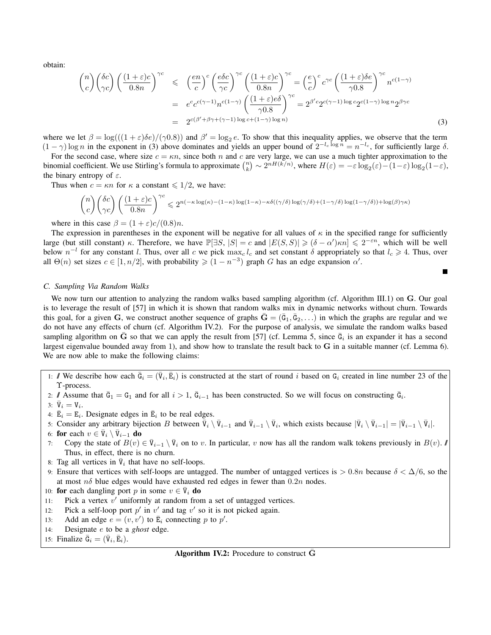obtain:

$$
\binom{n}{c}\binom{\delta c}{\gamma c}\left(\frac{(1+\varepsilon)c}{0.8n}\right)^{\gamma c} \leq \left(\frac{en}{c}\right)^{c}\left(\frac{e\delta c}{\gamma c}\right)^{\gamma c}\left(\frac{(1+\varepsilon)c}{0.8n}\right)^{\gamma c} = \left(\frac{e}{c}\right)^{c}c^{\gamma c}\left(\frac{(1+\varepsilon)\delta e}{\gamma 0.8}\right)^{\gamma c}n^{c(1-\gamma)}
$$

$$
= e^{c}c^{c(\gamma-1)}n^{c(1-\gamma)}\left(\frac{(1+\varepsilon)e\delta}{\gamma 0.8}\right)^{\gamma c} = 2^{\beta' c}2^{c(\gamma-1)\log c}2^{c(1-\gamma)\log n}2^{\beta\gamma c}
$$

$$
= 2^{c(\beta'+\beta\gamma+(\gamma-1)\log c+(1-\gamma)\log n)}
$$
(3)

where we let  $\beta = \log(((1+\varepsilon)\delta e)/(\gamma 0.8))$  and  $\beta' = \log_2 e$ . To show that this inequality applies, we observe that the term  $(1 - \gamma) \log n$  in the exponent in (3) above dominates and yields an upper bound of  $2^{-l_c \log n} = n^{-l_c}$ , for sufficiently large  $\delta$ .

For the second case, where size  $c = \kappa n$ , since both n and c are very large, we can use a much tighter approximation to the binomial coefficient. We use Stirling's formula to approximate  $\binom{n}{k} \sim 2^{nH(k/n)}$ , where  $H(\varepsilon) = -\varepsilon \log_2(\varepsilon) - (1-\varepsilon) \log_2(1-\varepsilon)$ , the binary entropy of  $\varepsilon$ .

Thus when  $c = \kappa n$  for  $\kappa$  a constant  $\leq 1/2$ , we have:

$$
\binom{n}{c}\binom{\delta c}{\gamma c}\left(\frac{(1+\varepsilon)c}{0.8n}\right)^{\gamma c} \leqslant 2^{n(-\kappa \log(\kappa)-(1-\kappa)\log(1-\kappa)-\kappa\delta((\gamma/\delta)\log(\gamma/\delta)+(1-\gamma/\delta)\log(1-\gamma/\delta))+\log(\beta)\gamma\kappa)}
$$

where in this case  $\beta = (1 + \varepsilon)c/(0.8)n$ .

The expression in parentheses in the exponent will be negative for all values of  $\kappa$  in the specified range for sufficiently large (but still constant) κ. Therefore, we have  $\mathbb{P}[\exists S, |S| = c$  and  $|E(S, S)| \geq (\delta - \alpha') \kappa n] \leq 2^{-\varepsilon n}$ , which will be well below  $n^{-l}$  for any constant l. Thus, over all c we pick  $\max_c l_c$  and set constant  $\delta$  appropriately so that  $l_c \geq 4$ . Thus, over all  $\Theta(n)$  set sizes  $c \in [1, n/2]$ , with probability  $\geq (1 - n^{-3})$  graph G has an edge expansion  $\alpha'$ .

П

#### *C. Sampling Via Random Walks*

We now turn our attention to analyzing the random walks based sampling algorithm (cf. Algorithm III.1) on G. Our goal is to leverage the result of [57] in which it is shown that random walks mix in dynamic networks without churn. Towards this goal, for a given G, we construct another sequence of graphs  $\bar{G} = (\bar{G}_1, \bar{G}_2, \ldots)$  in which the graphs are regular and we do not have any effects of churn (cf. Algorithm IV.2). For the purpose of analysis, we simulate the random walks based sampling algorithm on  $\bar{G}$  so that we can apply the result from [57] (cf. Lemma 5, since  $\bar{G}_i$  is an expander it has a second largest eigenvalue bounded away from 1), and show how to translate the result back to G in a suitable manner (cf. Lemma 6). We are now able to make the following claims:

- 1: *I* We describe how each  $\bar{G}_i = (\bar{V}_i, \bar{E}_i)$  is constructed at the start of round i based on  $G_i$  created in line number 23 of the Υ-process.
- 2: *∥* Assume that  $\bar{G}_1 = G_1$  and for all  $i > 1$ ,  $\bar{G}_{i-1}$  has been constructed. So we will focus on constructing  $\bar{G}_i$ .

$$
3: \ \bar{\mathbf{V}}_i = \mathbf{V}_i.
$$

- 4:  $\bar{\mathbf{E}}_i = \mathbf{E}_i$ . Designate edges in  $\bar{\mathbf{E}}_i$  to be real edges.
- 5: Consider any arbitrary bijection B between  $\bar{\nabla}_i \setminus \bar{V}_{i-1}$  and  $\bar{V}_{i-1} \setminus \bar{V}_i$ , which exists because  $|\bar{V}_i \setminus \bar{V}_{i-1}| = |\bar{V}_{i-1} \setminus \bar{V}_i|$ .
- 6: for each  $v \in \overline{V}_i \setminus \overline{V}_{i-1}$  do
- 7: Copy the state of  $B(v) \in \overline{V}_{i-1} \setminus \overline{V}_i$  on to v. In particular, v now has all the random walk tokens previously in  $B(v)$ . Thus, in effect, there is no churn.
- 8: Tag all vertices in  $\bar{V}_i$  that have no self-loops.
- 9: Ensure that vertices with self-loops are untagged. The number of untagged vertices is > 0.8n because  $\delta < \Delta/6$ , so the at most  $n\delta$  blue edges would have exhausted red edges in fewer than 0.2n nodes.
- 10: for each dangling port p in some  $v \in \overline{V}_i$  do
- 11: Pick a vertex  $v'$  uniformly at random from a set of untagged vertices.
- 12: Pick a self-loop port  $p'$  in  $v'$  and tag  $v'$  so it is not picked again.
- 13: Add an edge  $e = (v, v')$  to  $\overline{E}_i$  connecting p to p'.
- 14: Designate e to be a *ghost* edge.
- 15: Finalize  $\bar{G}_i = (\bar{V}_i, \bar{E}_i)$ .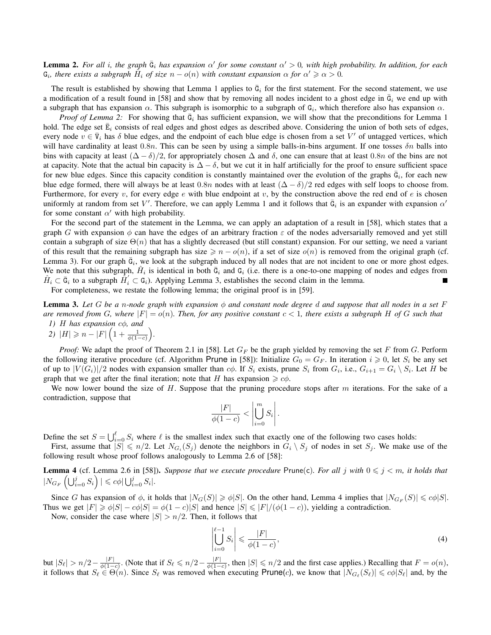**Lemma 2.** For all i, the graph  $\bar{G}_i$  has expansion  $\alpha'$  for some constant  $\alpha' > 0$ , with high probability. In addition, for each  $G_i$ , there exists a subgraph  $\hat{H}_i$  of size  $n - o(n)$  with constant expansion  $\alpha$  for  $\alpha' \geqslant \alpha > 0$ .

The result is established by showing that Lemma 1 applies to  $\bar{G}_i$  for the first statement. For the second statement, we use a modification of a result found in [58] and show that by removing all nodes incident to a ghost edge in  $\bar{G}_i$  we end up with a subgraph that has expansion  $\alpha$ . This subgraph is isomorphic to a subgraph of  $G_i$ , which therefore also has expansion  $\alpha$ .

*Proof of Lemma 2:* For showing that  $\bar{G}_i$  has sufficient expansion, we will show that the preconditions for Lemma 1 hold. The edge set  $\bar{E}_i$  consists of real edges and ghost edges as described above. Considering the union of both sets of edges, every node  $v \in \bar{V}_i$  has  $\delta$  blue edges, and the endpoint of each blue edge is chosen from a set  $V'$  of untagged vertices, which will have cardinality at least  $0.8n$ . This can be seen by using a simple balls-in-bins argument. If one tosses  $\delta n$  balls into bins with capacity at least  $(\Delta - \delta)/2$ , for appropriately chosen  $\Delta$  and  $\delta$ , one can ensure that at least 0.8n of the bins are not at capacity. Note that the actual bin capacity is  $\Delta - \delta$ , but we cut it in half artificially for the proof to ensure sufficient space for new blue edges. Since this capacity condition is constantly maintained over the evolution of the graphs  $\bar{G}_i$ , for each new blue edge formed, there will always be at least  $0.8n$  nodes with at least  $(\Delta - \delta)/2$  red edges with self loops to choose from. Furthermore, for every  $v$ , for every edge  $e$  with blue endpoint at  $v$ , by the construction above the red end of  $e$  is chosen uniformly at random from set V'. Therefore, we can apply Lemma 1 and it follows that  $\bar{G}_i$  is an expander with expansion  $\alpha'$ for some constant  $\alpha'$  with high probability.

For the second part of the statement in the Lemma, we can apply an adaptation of a result in [58], which states that a graph G with expansion  $\phi$  can have the edges of an arbitrary fraction  $\varepsilon$  of the nodes adversarially removed and yet still contain a subgraph of size  $\Theta(n)$  that has a slightly decreased (but still constant) expansion. For our setting, we need a variant of this result that the remaining subgraph has size  $\geq n - o(n)$ , if a set of size  $o(n)$  is removed from the original graph (cf. Lemma 3). For our graph  $\bar{G}_i$ , we look at the subgraph induced by all nodes that are not incident to one or more ghost edges. We note that this subgraph,  $\hat{H}_i$  is identical in both  $\bar{G}_i$  and  $G_i$  (i.e. there is a one-to-one mapping of nodes and edges from  $\hat{H}_i \subset \bar{G}_i$  to a subgraph  $\hat{H}'_i \subset G_i$ ). Applying Lemma 3, establishes the second claim in the lemma.

For completeness, we restate the following lemma; the original proof is in [59].

Lemma 3. *Let* G *be a* n*-node graph with expansion* φ *and constant node degree* d *and suppose that all nodes in a set* F *are removed from* G, where  $|F| = o(n)$ . Then, for any positive constant  $c < 1$ , there exists a subgraph H of G such that *1)* H *has expansion* cφ*, and*

2) 
$$
|H| \ge n - |F| \left( 1 + \frac{1}{\phi(1-c)} \right)
$$
.

*Proof:* We adapt the proof of Theorem 2.1 in [58]. Let  $G_F$  be the graph yielded by removing the set  $F$  from  $G$ . Perform the following iterative procedure (cf. Algorithm Prune in [58]): Initialize  $G_0 = G_F$ . In iteration  $i \ge 0$ , let  $S_i$  be any set of up to  $|V(G_i)|/2$  nodes with expansion smaller than  $c\phi$ . If  $S_i$  exists, prune  $S_i$  from  $G_i$ , i.e.,  $G_{i+1} = G_i \setminus S_i$ . Let H be graph that we get after the final iteration; note that H has expansion  $\geq c\phi$ .

We now lower bound the size of H. Suppose that the pruning procedure stops after  $m$  iterations. For the sake of a contradiction, suppose that

$$
\frac{|F|}{\phi(1-c)} < \left| \bigcup_{i=0}^m S_i \right|.
$$

Define the set  $S = \bigcup_{i=0}^{\ell} S_i$  where  $\ell$  is the smallest index such that exactly one of the following two cases holds:

First, assume that  $|\overline{S}| \leq n/2$ . Let  $N_{G_i}(S_j)$  denote the neighbors in  $G_i \setminus S_j$  of nodes in set  $S_j$ . We make use of the following result whose proof follows analogously to Lemma 2.6 of [58]:

**Lemma 4** (cf. Lemma 2.6 in [58]). Suppose that we execute procedure Prune(c). For all j with  $0 \le j \le m$ , it holds that  $|N_{G_F}\left(\bigcup_{i=0}^j S_i\right)| \leqslant c\phi|\bigcup_{i=0}^j S_i|.$ 

Since G has expansion of  $\phi$ , it holds that  $|N_G(S)| \geq \phi|S|$ . On the other hand, Lemma 4 implies that  $|N_{G_F}(S)| \leq c\phi|S|$ . Thus we get  $|F| \geq \phi|S| - c\phi|S| = \phi(1-c)|S|$  and hence  $|S| \leq |F|/(\phi(1-c))$ , yielding a contradiction.

Now, consider the case where  $|S| > n/2$ . Then, it follows that

$$
\left|\bigcup_{i=0}^{\ell-1} S_i\right| \leqslant \frac{|F|}{\phi(1-c)},\tag{4}
$$

but  $|S_{\ell}| > n/2 - \frac{|F|}{\phi(1 - \ell)}$  $\frac{|F|}{\phi(1-c)}$ . (Note that if  $S_\ell \leq n/2 - \frac{|F|}{\phi(1-c)}$  $\frac{|F|}{\phi(1-c)}$ , then  $|S| \le n/2$  and the first case applies.) Recalling that  $F = o(n)$ , it follows that  $S_\ell \in \Theta(n)$ . Since  $S_\ell$  was removed when executing Prune(c), we know that  $|N_{G_\ell}(S_\ell)| \leq c\phi |S_\ell|$  and, by the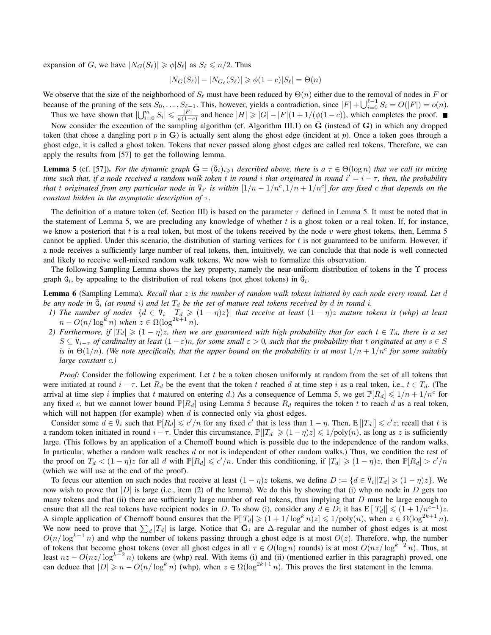expansion of G, we have  $|N_G(S_\ell)| \geq \phi |S_\ell|$  as  $S_\ell \leq n/2$ . Thus

$$
|N_G(S_\ell)| - |N_{G_\ell}(S_\ell)| \ge \phi(1-c)|S_\ell| = \Theta(n)
$$

We observe that the size of the neighborhood of  $S_\ell$  must have been reduced by  $\Theta(n)$  either due to the removal of nodes in F or because of the pruning of the sets  $S_0, \ldots, S_{\ell-1}$ . This, however, yields a contradiction, since  $|F| + \bigcup_{i=0}^{\ell-1} S_i = O(|F|) = o(n)$ .

Thus we have shown that  $\left|\bigcup_{i=0}^m S_i\right| \leq \frac{|F|}{\phi(1-\phi)}$  $\frac{|F|}{\phi(1-c)}$  and hence  $|H| \geq |G| - |F|(1 + 1/(\phi(1-c))$ , which completes the proof.

Now consider the execution of the sampling algorithm (cf. Algorithm III.1) on  $\bar{G}$  (instead of G) in which any dropped token (that chose a dangling port p in G) is actually sent along the ghost edge (incident at p). Once a token goes through a ghost edge, it is called a ghost token. Tokens that never passed along ghost edges are called real tokens. Therefore, we can apply the results from [57] to get the following lemma.

**Lemma 5** (cf. [57]). *For the dynamic graph*  $\bar{G} = (\bar{G}_i)_{i\geq 1}$  *described above, there is a*  $\tau \in \Theta(\log n)$  *that we call its mixing time such that, if a node received a random walk token t in round i that originated in round*  $i' = i - \tau$ , then, the probability that t originated from any particular node in  $\bar{V}_{i'}$  is within  $[1/n-1/n^c,1/n+1/n^c]$  for any fixed  $c$  that depends on the *constant hidden in the asymptotic description of* τ.

The definition of a mature token (cf. Section III) is based on the parameter  $\tau$  defined in Lemma 5. It must be noted that in the statement of Lemma 5, we are precluding any knowledge of whether  $t$  is a ghost token or a real token. If, for instance, we know a posteriori that  $t$  is a real token, but most of the tokens received by the node  $v$  were ghost tokens, then, Lemma 5 cannot be applied. Under this scenario, the distribution of starting vertices for t is not guaranteed to be uniform. However, if a node receives a sufficiently large number of real tokens, then, intuitively, we can conclude that that node is well connected and likely to receive well-mixed random walk tokens. We now wish to formalize this observation.

The following Sampling Lemma shows the key property, namely the near-uniform distribution of tokens in the Υ process graph  $G_i$ , by appealing to the distribution of real tokens (not ghost tokens) in  $\overline{G}_i$ .

Lemma 6 (Sampling Lemma). *Recall that* z *is the number of random walk tokens initiated by each node every round. Let* d *be any node in*  $\bar{G}_i$  *(at round i) and let*  $T_d$  *be the set of mature real tokens received by d in round i.* 

- *1)* The number of nodes  $|\{d \in \overline{V}_i \mid T_d \geq (1 \eta)z\}|$  that receive at least  $(1 \eta)z$  mature tokens is (whp) at least  $n - O(n/\log^k n)$  when  $z \in \Omega(\log^{2k+1} n)$ .
- *2) Furthermore, if*  $|T_d| \geq (1 \eta)z$ , then we are guaranteed with high probability that for each  $t \in T_d$ , there is a set  $S \subseteq \overline{V}_{i-\tau}$  *of cardinality at least*  $(1-\varepsilon)n$ *, for some small*  $\varepsilon > 0$ *, such that the probability that t originated at any*  $s \in S$ *is in*  $\Theta(1/n)$ . (We note specifically, that the upper bound on the probability is at most  $1/n + 1/n^c$  for some suitably *large constant* c*.)*

*Proof:* Consider the following experiment. Let t be a token chosen uniformly at random from the set of all tokens that were initiated at round  $i - \tau$ . Let  $R_d$  be the event that the token t reached d at time step i as a real token, i.e.,  $t \in T_d$ . (The arrival at time step i implies that t matured on entering d.) As a consequence of Lemma 5, we get  $\mathbb{P}[R_d] \leq 1/n + 1/n^c$  for any fixed c, but we cannot lower bound  $\mathbb{P}[R_d]$  using Lemma 5 because  $R_d$  requires the token t to reach d as a real token, which will not happen (for example) when  $d$  is connected only via ghost edges.

Consider some  $d \in \overline{V}_i$  such that  $\mathbb{P}[R_d] \leqslant c'/n$  for any fixed  $c'$  that is less than  $1 - \eta$ . Then,  $E[|T_d|] \leqslant c'z$ ; recall that t is a random token initiated in round  $i - \tau$ . Under this circumstance,  $\mathbb{P}[T_d] \geq (1 - \eta)z \leq 1/\text{poly}(n)$ , as long as z is sufficiently large. (This follows by an application of a Chernoff bound which is possible due to the independence of the random walks. In particular, whether a random walk reaches  $d$  or not is independent of other random walks.) Thus, we condition the rest of the proof on  $T_d < (1 - \eta)z$  for all d with  $\mathbb{P}[R_d] \leq c'/n$ . Under this conditioning, if  $|T_d| \geq (1 - \eta)z$ , then  $\mathbb{P}[R_d] > c'/n$ (which we will use at the end of the proof).

To focus our attention on such nodes that receive at least  $(1 - \eta)z$  tokens, we define  $D := \{ d \in \overline{V}_i | |T_d| \geq (1 - \eta)z \}$ . We now wish to prove that  $|D|$  is large (i.e., item (2) of the lemma). We do this by showing that (i) whp no node in D gets too many tokens and that (ii) there are sufficiently large number of real tokens, thus implying that  $D$  must be large enough to ensure that all the real tokens have recipient nodes in D. To show (i), consider any  $d \in D$ ; it has  $E[|T_d|] \leq (1 + 1/n^{c-1})z$ . A simple application of Chernoff bound ensures that the  $\mathbb{P}[|T_d| \geq (1 + 1/\log^k n)z] \leq 1/\text{poly}(n)$ , when  $z \in \Omega(\log^{2k+1} n)$ . We now need to prove that  $\sum_{d} |T_d|$  is large. Notice that  $\overline{G_i}$  are  $\Delta$ -regular and the number of ghost edges is at most  $O(n/\log^{k-1} n)$  and whp the number of tokens passing through a ghost edge is at most  $O(z)$ . Therefore, whp, the number of tokens that become ghost tokens (over all ghost edges in all  $\tau \in O(\log n)$  rounds) is at most  $O(nz/\log^{k-2} n)$ . Thus, at least  $nz - O(nz/\log^{k-2} n)$  tokens are (whp) real. With items (i) and (ii) (mentioned earlier in this paragraph) proved, one can deduce that  $|D| \geq n - O(n/\log^k n)$  (whp), when  $z \in \Omega(\log^{2k+1} n)$ . This proves the first statement in the lemma.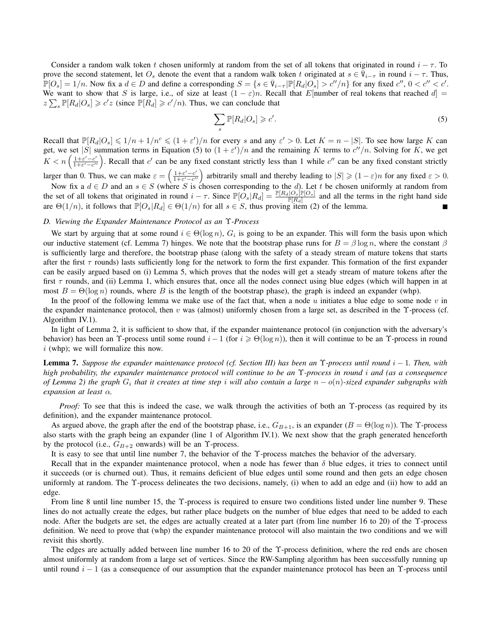Consider a random walk token t chosen uniformly at random from the set of all tokens that originated in round  $i - \tau$ . To prove the second statement, let  $O_s$  denote the event that a random walk token t originated at  $s \in \bar{V}_{i-\tau}$  in round  $i-\tau$ . Thus,  $\overline{\mathbb{P}}[O_s] = 1/n$ . Now fix a  $d \in D$  and define a corresponding  $S = \{s \in \overline{V}_{i-\tau} | \mathbb{P}[R_d|O_s] > c''/n\}$  for any fixed  $c'', 0 < c'' < c'$ . We want to show that S is large, i.e., of size at least  $(1 - \varepsilon)n$ . Recall that E[number of real tokens that reached d] =  $z \sum_s \mathbb{P}[R_d|O_s] \geq c'z$  (since  $\mathbb{P}[R_d] \geq c'/n$ ). Thus, we can conclude that

$$
\sum_{s} \mathbb{P}[R_d | O_s] \geqslant c'.\tag{5}
$$

Recall that  $\mathbb{P}[R_d|O_s] \leq 1/n + 1/n^c \leq (1+\varepsilon')/n$  for every s and any  $\varepsilon' > 0$ . Let  $K = n - |S|$ . To see how large K can get, we set |S| summation terms in Equation (5) to  $(1+\varepsilon')/n$  and the remaining K terms to  $c''/n$ . Solving for K, we get  $K < n \left( \frac{1+\varepsilon'-c'}{1+\varepsilon'-c''} \right)$  $\frac{1+\epsilon'-c'}{1+\epsilon'-c''}$ ). Recall that c' can be any fixed constant strictly less than 1 while c'' can be any fixed constant strictly larger than 0. Thus, we can make  $\varepsilon = \left( \frac{1 + \varepsilon' - c'}{1 + \varepsilon' - c''} \right)$  $\frac{1+\varepsilon'-c'}{1+\varepsilon'-c''}$  arbitrarily small and thereby leading to  $|S| \geqslant (1-\varepsilon)n$  for any fixed  $\varepsilon > 0$ .

Now fix a  $d \in D$  and an  $s \in S$  (where S is chosen corresponding to the d). Let t be chosen uniformly at random from the set of all tokens that originated in round  $i - \tau$ . Since  $\mathbb{P}[O_s|R_d] = \frac{\mathbb{P}[R_d|O_s]\mathbb{P}[O_s]}{\mathbb{P}[R_d]}$  and all the terms in the right hand side are  $\Theta(1/n)$ , it follows that  $\mathbb{P}[O_s|R_d] \in \Theta(1/n)$  for all  $s \in S$ , thus proving item (2) of the lemma.

## *D. Viewing the Expander Maintenance Protocol as an* Υ*-Process*

We start by arguing that at some round  $i \in \Theta(\log n)$ ,  $G_i$  is going to be an expander. This will form the basis upon which our inductive statement (cf. Lemma 7) hinges. We note that the bootstrap phase runs for  $B = \beta \log n$ , where the constant  $\beta$ is sufficiently large and therefore, the bootstrap phase (along with the safety of a steady stream of mature tokens that starts after the first  $\tau$  rounds) lasts sufficiently long for the network to form the first expander. This formation of the first expander can be easily argued based on (i) Lemma 5, which proves that the nodes will get a steady stream of mature tokens after the first  $\tau$  rounds, and (ii) Lemma 1, which ensures that, once all the nodes connect using blue edges (which will happen in at most  $B = \Theta(\log n)$  rounds, where B is the length of the bootstrap phase), the graph is indeed an expander (whp).

In the proof of the following lemma we make use of the fact that, when a node  $u$  initiates a blue edge to some node  $v$  in the expander maintenance protocol, then v was (almost) uniformly chosen from a large set, as described in the  $\Upsilon$ -process (cf. Algorithm IV.1).

In light of Lemma 2, it is sufficient to show that, if the expander maintenance protocol (in conjunction with the adversary's behavior) has been an  $\Upsilon$ -process until some round  $i - 1$  (for  $i \geq \Theta(\log n)$ ), then it will continue to be an  $\Upsilon$ -process in round  $i$  (whp); we will formalize this now.

Lemma 7. *Suppose the expander maintenance protocol (cf. Section III) has been an* Υ*-process until round* i − 1*. Then, with high probability, the expander maintenance protocol will continue to be an* Υ*-process in round* i *and (as a consequence of Lemma 2) the graph G<sub>i</sub> that it creates at time step i will also contain a large n − o(n)-sized expander subgraphs with expansion at least* α*.*

*Proof:* To see that this is indeed the case, we walk through the activities of both an Υ-process (as required by its definition), and the expander maintenance protocol.

As argued above, the graph after the end of the bootstrap phase, i.e.,  $G_{B+1}$ , is an expander  $(B = \Theta(\log n))$ . The  $\Upsilon$ -process also starts with the graph being an expander (line 1 of Algorithm IV.1). We next show that the graph generated henceforth by the protocol (i.e.,  $G_{B+2}$  onwards) will be an  $\Upsilon$ -process.

It is easy to see that until line number 7, the behavior of the Υ-process matches the behavior of the adversary.

Recall that in the expander maintenance protocol, when a node has fewer than  $\delta$  blue edges, it tries to connect until it succeeds (or is churned out). Thus, it remains deficient of blue edges until some round and then gets an edge chosen uniformly at random. The Υ-process delineates the two decisions, namely, (i) when to add an edge and (ii) how to add an edge.

From line 8 until line number 15, the Υ-process is required to ensure two conditions listed under line number 9. These lines do not actually create the edges, but rather place budgets on the number of blue edges that need to be added to each node. After the budgets are set, the edges are actually created at a later part (from line number 16 to 20) of the Υ-process definition. We need to prove that (whp) the expander maintenance protocol will also maintain the two conditions and we will revisit this shortly.

The edges are actually added between line number 16 to 20 of the Υ-process definition, where the red ends are chosen almost uniformly at random from a large set of vertices. Since the RW-Sampling algorithm has been successfully running up until round  $i - 1$  (as a consequence of our assumption that the expander maintenance protocol has been an  $\Upsilon$ -process until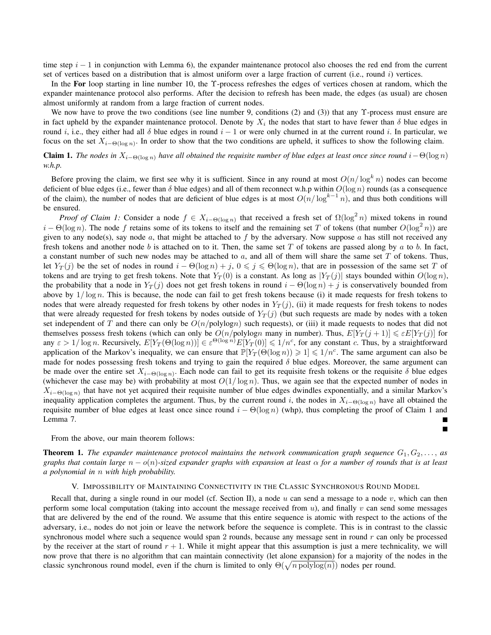time step  $i - 1$  in conjunction with Lemma 6), the expander maintenance protocol also chooses the red end from the current set of vertices based on a distribution that is almost uniform over a large fraction of current (i.e., round i) vertices.

In the For loop starting in line number 10, the Υ-process refreshes the edges of vertices chosen at random, which the expander maintenance protocol also performs. After the decision to refresh has been made, the edges (as usual) are chosen almost uniformly at random from a large fraction of current nodes.

We now have to prove the two conditions (see line number 9, conditions (2) and (3)) that any Υ-process must ensure are in fact upheld by the expander maintenance protocol. Denote by  $X_i$  the nodes that start to have fewer than  $\delta$  blue edges in round i, i.e., they either had all  $\delta$  blue edges in round  $i - 1$  or were only churned in at the current round i. In particular, we focus on the set  $X_{i-Theta(\log n)}$ . In order to show that the two conditions are upheld, it suffices to show the following claim.

**Claim 1.** *The nodes in*  $X_{i-Θ(\log n)}$  *have all obtained the requisite number of blue edges at least once since round*  $i-Θ(\log n)$ *w.h.p.*

Before proving the claim, we first see why it is sufficient. Since in any round at most  $O(n/\log^k n)$  nodes can become deficient of blue edges (i.e., fewer than  $\delta$  blue edges) and all of them reconnect w.h.p within  $O(\log n)$  rounds (as a consequence of the claim), the number of nodes that are deficient of blue edges is at most  $O(n/\log^{k-1} n)$ , and thus both conditions will be ensured.

*Proof of Claim 1:* Consider a node  $f \in X_{i-\Theta(\log n)}$  that received a fresh set of  $\Omega(\log^2 n)$  mixed tokens in round  $i - \Theta(\log n)$ . The node f retains some of its tokens to itself and the remaining set T of tokens (that number  $O(\log^2 n)$ ) are given to any node(s), say node a, that might be attached to f by the adversary. Now suppose a has still not received any fresh tokens and another node b is attached on to it. Then, the same set  $T$  of tokens are passed along by  $a$  to  $b$ . In fact, a constant number of such new nodes may be attached to a, and all of them will share the same set  $T$  of tokens. Thus, let  $Y_T(j)$  be the set of nodes in round  $i - \Theta(\log n) + j$ ,  $0 \leq j \leq \Theta(\log n)$ , that are in possession of the same set T of tokens and are trying to get fresh tokens. Note that  $Y_T(0)$  is a constant. As long as  $|Y_T(j)|$  stays bounded within  $O(\log n)$ , the probability that a node in  $Y_T(j)$  does not get fresh tokens in round  $i - \Theta(\log n) + j$  is conservatively bounded from above by  $1/\log n$ . This is because, the node can fail to get fresh tokens because (i) it made requests for fresh tokens to nodes that were already requested for fresh tokens by other nodes in  $Y_T(j)$ , (ii) it made requests for fresh tokens to nodes that were already requested for fresh tokens by nodes outside of  $Y_T(j)$  (but such requests are made by nodes with a token set independent of T and there can only be  $O(n/\text{polylog} n)$  such requests), or (iii) it made requests to nodes that did not themselves possess fresh tokens (which can only be  $O(n/\text{polylog} n$  many in number). Thus,  $E[Y_T(j+1)] \leq \varepsilon E[Y_T(j)]$  for any  $\varepsilon > 1/\log n$ . Recursively,  $E[Y_T(\Theta(\log n))] \in \varepsilon^{\Theta(\log n)} E[Y_T(0)] \leq 1/n^c$ , for any constant c. Thus, by a straightforward application of the Markov's inequality, we can ensure that  $\mathbb{P}[Y_T(\Theta(\log n)) \geq 1] \leq 1/n^c$ . The same argument can also be made for nodes possessing fresh tokens and trying to gain the required  $\delta$  blue edges. Moreover, the same argument can be made over the entire set  $X_{i-\Theta(\log n)}$ . Each node can fail to get its requisite fresh tokens or the requisite  $\delta$  blue edges (whichever the case may be) with probability at most  $O(1/\log n)$ . Thus, we again see that the expected number of nodes in  $X_{i-\Theta(\log n)}$  that have not yet acquired their requisite number of blue edges dwindles exponentially, and a similar Markov's inequality application completes the argument. Thus, by the current round i, the nodes in  $X_{i-Θ(\log n)}$  have all obtained the requisite number of blue edges at least once since round  $i - \Theta(\log n)$  (whp), thus completing the proof of Claim 1 and Lemma 7.

From the above, our main theorem follows:

**Theorem 1.** The expander maintenance protocol maintains the network communication graph sequence  $G_1, G_2, \ldots$ , as *graphs that contain large* n − o(n)*-sized expander graphs with expansion at least* α *for a number of rounds that is at least a polynomial in* n *with high probability.*

П

#### V. IMPOSSIBILITY OF MAINTAINING CONNECTIVITY IN THE CLASSIC SYNCHRONOUS ROUND MODEL

Recall that, during a single round in our model (cf. Section II), a node u can send a message to a node v, which can then perform some local computation (taking into account the message received from  $u$ ), and finally  $v$  can send some messages that are delivered by the end of the round. We assume that this entire sequence is atomic with respect to the actions of the adversary, i.e., nodes do not join or leave the network before the sequence is complete. This is in contrast to the classic synchronous model where such a sequence would span 2 rounds, because any message sent in round  $r$  can only be processed by the receiver at the start of round  $r + 1$ . While it might appear that this assumption is just a mere technicality, we will now prove that there is no algorithm that can maintain connectivity (let alone expansion) for a majority of the nodes in the classic synchronous round model, even if the churn is limited to only  $\Theta(\sqrt{n \operatorname{polylog}(n)})$  nodes per round.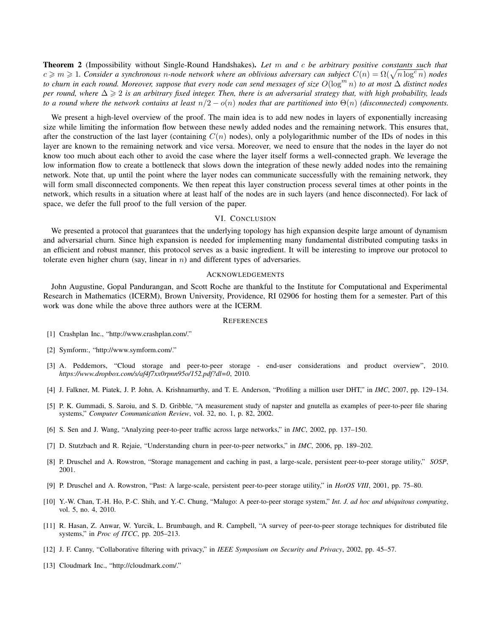Theorem 2 (Impossibility without Single-Round Handshakes). *Let* m *and* c *be arbitrary positive constants such that*  $c \geqslant m \geqslant 1$ . Consider a synchronous *n*-node network where an oblivious adversary can subject  $C(n) = \Omega(\sqrt{n \log^c n})$  nodes *to churn in each round. Moreover, suppose that every node can send messages of size O(log<sup>m</sup> n) <i>to at most* ∆ *distinct nodes per round, where* ∆ > 2 *is an arbitrary fixed integer. Then, there is an adversarial strategy that, with high probability, leads to a round where the network contains at least*  $n/2 - o(n)$  *nodes that are partitioned into*  $\Theta(n)$  *(disconnected) components.* 

We present a high-level overview of the proof. The main idea is to add new nodes in layers of exponentially increasing size while limiting the information flow between these newly added nodes and the remaining network. This ensures that, after the construction of the last layer (containing  $C(n)$  nodes), only a polylogarithmic number of the IDs of nodes in this layer are known to the remaining network and vice versa. Moreover, we need to ensure that the nodes in the layer do not know too much about each other to avoid the case where the layer itself forms a well-connected graph. We leverage the low information flow to create a bottleneck that slows down the integration of these newly added nodes into the remaining network. Note that, up until the point where the layer nodes can communicate successfully with the remaining network, they will form small disconnected components. We then repeat this layer construction process several times at other points in the network, which results in a situation where at least half of the nodes are in such layers (and hence disconnected). For lack of space, we defer the full proof to the full version of the paper.

#### VI. CONCLUSION

We presented a protocol that guarantees that the underlying topology has high expansion despite large amount of dynamism and adversarial churn. Since high expansion is needed for implementing many fundamental distributed computing tasks in an efficient and robust manner, this protocol serves as a basic ingredient. It will be interesting to improve our protocol to tolerate even higher churn (say, linear in  $n$ ) and different types of adversaries.

#### ACKNOWLEDGEMENTS

John Augustine, Gopal Pandurangan, and Scott Roche are thankful to the Institute for Computational and Experimental Research in Mathematics (ICERM), Brown University, Providence, RI 02906 for hosting them for a semester. Part of this work was done while the above three authors were at the ICERM.

#### **REFERENCES**

- [1] Crashplan Inc., "http://www.crashplan.com/."
- [2] Symform:, "http://www.symform.com/."
- [3] A. Peddemors, "Cloud storage and peer-to-peer storage end-user considerations and product overview", 2010. *https://www.dropbox.com/s/af4f7xx0rpnn95o/152.pdf?dl=0*, 2010.
- [4] J. Falkner, M. Piatek, J. P. John, A. Krishnamurthy, and T. E. Anderson, "Profiling a million user DHT," in *IMC*, 2007, pp. 129–134.
- [5] P. K. Gummadi, S. Saroiu, and S. D. Gribble, "A measurement study of napster and gnutella as examples of peer-to-peer file sharing systems," *Computer Communication Review*, vol. 32, no. 1, p. 82, 2002.
- [6] S. Sen and J. Wang, "Analyzing peer-to-peer traffic across large networks," in *IMC*, 2002, pp. 137–150.
- [7] D. Stutzbach and R. Rejaie, "Understanding churn in peer-to-peer networks," in *IMC*, 2006, pp. 189–202.
- [8] P. Druschel and A. Rowstron, "Storage management and caching in past, a large-scale, persistent peer-to-peer storage utility," *SOSP*, 2001.
- [9] P. Druschel and A. Rowstron, "Past: A large-scale, persistent peer-to-peer storage utility," in *HotOS VIII*, 2001, pp. 75–80.
- [10] Y.-W. Chan, T.-H. Ho, P.-C. Shih, and Y.-C. Chung, "Malugo: A peer-to-peer storage system," *Int. J. ad hoc and ubiquitous computing*, vol. 5, no. 4, 2010.
- [11] R. Hasan, Z. Anwar, W. Yurcik, L. Brumbaugh, and R. Campbell, "A survey of peer-to-peer storage techniques for distributed file systems," in *Proc of ITCC*, pp. 205–213.
- [12] J. F. Canny, "Collaborative filtering with privacy," in *IEEE Symposium on Security and Privacy*, 2002, pp. 45–57.
- [13] Cloudmark Inc., "http://cloudmark.com/."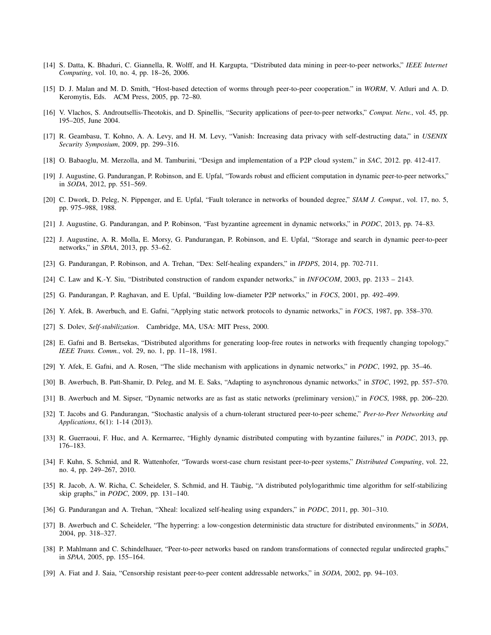- [14] S. Datta, K. Bhaduri, C. Giannella, R. Wolff, and H. Kargupta, "Distributed data mining in peer-to-peer networks," *IEEE Internet Computing*, vol. 10, no. 4, pp. 18–26, 2006.
- [15] D. J. Malan and M. D. Smith, "Host-based detection of worms through peer-to-peer cooperation." in *WORM*, V. Atluri and A. D. Keromytis, Eds. ACM Press, 2005, pp. 72–80.
- [16] V. Vlachos, S. Androutsellis-Theotokis, and D. Spinellis, "Security applications of peer-to-peer networks," *Comput. Netw.*, vol. 45, pp. 195–205, June 2004.
- [17] R. Geambasu, T. Kohno, A. A. Levy, and H. M. Levy, "Vanish: Increasing data privacy with self-destructing data," in *USENIX Security Symposium*, 2009, pp. 299–316.
- [18] O. Babaoglu, M. Merzolla, and M. Tamburini, "Design and implementation of a P2P cloud system," in *SAC*, 2012. pp. 412-417.
- [19] J. Augustine, G. Pandurangan, P. Robinson, and E. Upfal, "Towards robust and efficient computation in dynamic peer-to-peer networks," in *SODA*, 2012, pp. 551–569.
- [20] C. Dwork, D. Peleg, N. Pippenger, and E. Upfal, "Fault tolerance in networks of bounded degree," *SIAM J. Comput.*, vol. 17, no. 5, pp. 975–988, 1988.
- [21] J. Augustine, G. Pandurangan, and P. Robinson, "Fast byzantine agreement in dynamic networks," in *PODC*, 2013, pp. 74–83.
- [22] J. Augustine, A. R. Molla, E. Morsy, G. Pandurangan, P. Robinson, and E. Upfal, "Storage and search in dynamic peer-to-peer networks," in *SPAA*, 2013, pp. 53–62.
- [23] G. Pandurangan, P. Robinson, and A. Trehan, "Dex: Self-healing expanders," in *IPDPS*, 2014, pp. 702-711.
- [24] C. Law and K.-Y. Siu, "Distributed construction of random expander networks," in *INFOCOM*, 2003, pp. 2133 2143.
- [25] G. Pandurangan, P. Raghavan, and E. Upfal, "Building low-diameter P2P networks," in *FOCS*, 2001, pp. 492–499.
- [26] Y. Afek, B. Awerbuch, and E. Gafni, "Applying static network protocols to dynamic networks," in *FOCS*, 1987, pp. 358–370.
- [27] S. Dolev, *Self-stabilization*. Cambridge, MA, USA: MIT Press, 2000.
- [28] E. Gafni and B. Bertsekas, "Distributed algorithms for generating loop-free routes in networks with frequently changing topology," *IEEE Trans. Comm.*, vol. 29, no. 1, pp. 11–18, 1981.
- [29] Y. Afek, E. Gafni, and A. Rosen, "The slide mechanism with applications in dynamic networks," in *PODC*, 1992, pp. 35–46.
- [30] B. Awerbuch, B. Patt-Shamir, D. Peleg, and M. E. Saks, "Adapting to asynchronous dynamic networks," in *STOC*, 1992, pp. 557–570.
- [31] B. Awerbuch and M. Sipser, "Dynamic networks are as fast as static networks (preliminary version)," in *FOCS*, 1988, pp. 206–220.
- [32] T. Jacobs and G. Pandurangan, "Stochastic analysis of a churn-tolerant structured peer-to-peer scheme," *Peer-to-Peer Networking and Applications*, 6(1): 1-14 (2013).
- [33] R. Guerraoui, F. Huc, and A. Kermarrec, "Highly dynamic distributed computing with byzantine failures," in *PODC*, 2013, pp. 176–183.
- [34] F. Kuhn, S. Schmid, and R. Wattenhofer, "Towards worst-case churn resistant peer-to-peer systems," *Distributed Computing*, vol. 22, no. 4, pp. 249–267, 2010.
- [35] R. Jacob, A. W. Richa, C. Scheideler, S. Schmid, and H. Täubig, "A distributed polylogarithmic time algorithm for self-stabilizing skip graphs," in *PODC*, 2009, pp. 131–140.
- [36] G. Pandurangan and A. Trehan, "Xheal: localized self-healing using expanders," in *PODC*, 2011, pp. 301–310.
- [37] B. Awerbuch and C. Scheideler, "The hyperring: a low-congestion deterministic data structure for distributed environments," in *SODA*, 2004, pp. 318–327.
- [38] P. Mahlmann and C. Schindelhauer, "Peer-to-peer networks based on random transformations of connected regular undirected graphs," in *SPAA*, 2005, pp. 155–164.
- [39] A. Fiat and J. Saia, "Censorship resistant peer-to-peer content addressable networks," in *SODA*, 2002, pp. 94–103.